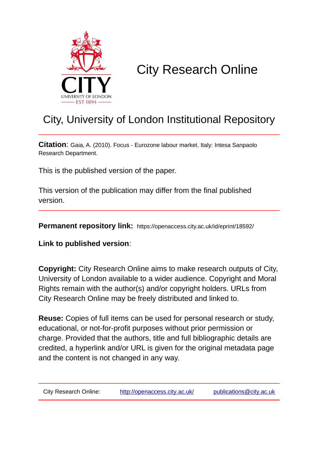

# City Research Online

## City, University of London Institutional Repository

**Citation**: Gaia, A. (2010). Focus - Eurozone labour market. Italy: Intesa Sanpaolo Research Department.

This is the published version of the paper.

This version of the publication may differ from the final published version.

**Permanent repository link:** https://openaccess.city.ac.uk/id/eprint/18592/

**Link to published version**:

**Copyright:** City Research Online aims to make research outputs of City, University of London available to a wider audience. Copyright and Moral Rights remain with the author(s) and/or copyright holders. URLs from City Research Online may be freely distributed and linked to.

**Reuse:** Copies of full items can be used for personal research or study, educational, or not-for-profit purposes without prior permission or charge. Provided that the authors, title and full bibliographic details are credited, a hyperlink and/or URL is given for the original metadata page and the content is not changed in any way.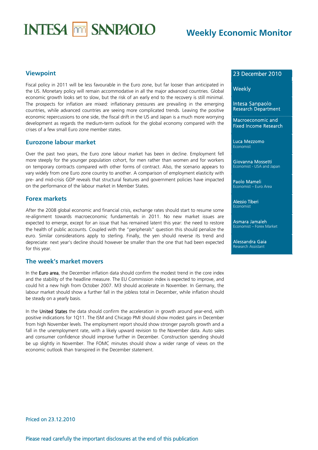# **INTESA MM SANPAOLO**

## **Weekly Economic Monitor**

#### **Viewpoint**

Fiscal policy in 2011 will be less favourable in the Euro zone, but far looser than anticipated in the US. Monetary policy will remain accommodative in all the major advanced countries. Global economic growth looks set to slow, but the risk of an early end to the recovery is still minimal. The prospects for inflation are mixed: inflationary pressures are prevailing in the emerging countries, while advanced countries are seeing more complicated trends. Leaving the positive economic repercussions to one side, the fiscal drift in the US and Japan is a much more worrying development as regards the medium-term outlook for the global economy compared with the crises of a few small Euro zone member states.

#### **Eurozone labour market**

Over the past two years, the Euro zone labour market has been in decline. Employment fell more steeply for the younger population cohort, for men rather than women and for workers on temporary contracts compared with other forms of contract. Also, the scenario appears to vary widely from one Euro zone country to another. A comparison of employment elasticity with pre- and mid-crisis GDP reveals that structural features and government policies have impacted on the performance of the labour market in Member States.

#### **Forex markets**

After the 2008 global economic and financial crisis, exchange rates should start to resume some re-alignment towards macroeconomic fundamentals in 2011. No new market issues are expected to emerge, except for an issue that has remained latent this year: the need to restore the health of public accounts. Coupled with the "peripherals" question this should penalize the euro. Similar considerations apply to sterling. Finally, the yen should reverse its trend and depreciate: next year's decline should however be smaller than the one that had been expected for this year.

#### **The week's market movers**

In the Euro area, the December inflation data should confirm the modest trend in the core index and the stability of the headline measure. The EU Commission index is expected to improve, and could hit a new high from October 2007. M3 should accelerate in November. In Germany, the labour market should show a further fall in the jobless total in December, while inflation should be steady on a yearly basis.

In the United States the data should confirm the acceleration in growth around year-end, with positive indications for 1Q11. The ISM and Chicago PMI should show modest gains in December from high November levels. The employment report should show stronger payrolls growth and a fall in the unemployment rate, with a likely upward revision to the November data. Auto sales and consumer confidence should improve further in December. Construction spending should be up slightly in November. The FOMC minutes should show a wider range of views on the economic outlook than transpired in the December statement.

#### 23 December 2010

#### **Weekly**

Intesa Sanpaolo Research Department

Macroeconomic and Fixed Income Research

Luca Mezzomo Economist

Giovanna Mossetti Economist - USA and Japan

Paolo Mameli Economist – Euro Area

Alessio Tiberi Economist

Asmara Jamaleh Economist – Forex Market

Alessandra Gaia Research Assistant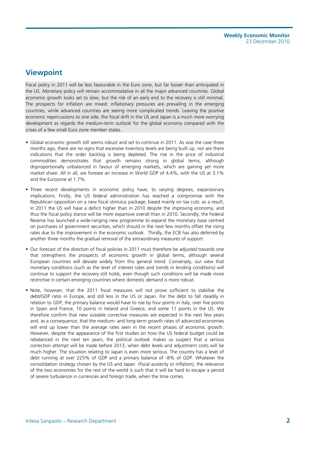## **Viewpoint**

Fiscal policy in 2011 will be less favourable in the Euro zone, but far looser than anticipated in the US. Monetary policy will remain accommodative in all the major advanced countries. Global economic growth looks set to slow, but the risk of an early end to the recovery is still minimal. The prospects for inflation are mixed: inflationary pressures are prevailing in the emerging countries, while advanced countries are seeing more complicated trends. Leaving the positive economic repercussions to one side, the fiscal drift in the US and Japan is a much more worrying development as regards the medium-term outlook for the global economy compared with the crises of a few small Euro zone member states.

- Global economic growth still seems robust and set to continue in 2011. As was the case three months ago, there are no signs that excessive inventory levels are being built up, nor are there indications that the order backlog is being depleted. The rise in the price of industrial commodities demonstrates that growth remains strong in global terms, although disproportionally unbalanced in favour of emerging markets, which are gaining yet more market share. All in all, we foresee an increase in World GDP of 4.4%, with the US at 3.1% and the Eurozone at 1.7%.
- Three recent developments in economic policy have, to varying degrees, expansionary implications. Firstly, the US federal administration has reached a compromise with the Republican opposition on a new fiscal stimulus package, based mainly on tax cuts: as a result, in 2011 the US will have a deficit higher than in 2010 despite the improving economy, and thus the fiscal policy stance will be more expansive overall than in 2010. Secondly, the Federal Reserve has launched a wide-ranging new programme to expand the monetary base centred on purchases of government securities, which should in the next few months offset the rising rates due to the improvement in the economic outlook. Thirdly, the ECB has also deferred by another three months the gradual removal of the extraordinary measures of support.
- Our forecast of the direction of fiscal policies in 2011 must therefore be adjusted towards one that strengthens the prospects of economic growth in global terms, although several European countries will deviate widely from this general trend. Conversely, our view that monetary conditions (such as the level of interest rates and trends in lending conditions) will continue to support the recovery still holds, even though such conditions will be made more restrictive in certain emerging countries where domestic demand is more robust.
- Note, however, that the 2011 fiscal measures will not prove sufficient to stabilise the debt/GDP ratio in Europe, and still less in the US or Japan. For the debt to fall steadily in relation to GDP, the primary balance would have to rise by four points in Italy, over five points in Spain and France, 10 points in Ireland and Greece, and some 11 points in the US. We therefore confirm that new sizeable corrective measures are expected in the next few years and, as a consequence, that the medium- and long-term growth rates of advanced economies will end up lower than the average rates seen in the recent phases of economic growth. However, despite the appearance of the first studies on how the US federal budget could be rebalanced in the next ten years, the political outlook makes us suspect that a serious correction attempt will be made before 2013, when debt levels and adjustment costs will be much higher. The situation relating to Japan is even more serious. The country has a level of debt running at over 225% of GDP and a primary balance of -8% of GDP. Whatever the consolidation strategy chosen by the US and Japan (fiscal austerity or inflation), the relevance of the two economies for the rest of the world is such that it will be hard to escape a period of severe turbulence in currencies and foreign trade, when the time comes.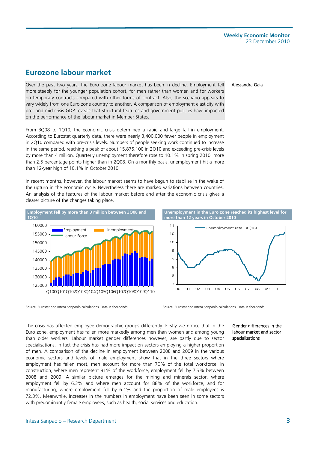## **Eurozone labour market**

Over the past two years, the Euro zone labour market has been in decline. Employment fell more steeply for the younger population cohort, for men rather than women and for workers on temporary contracts compared with other forms of contract. Also, the scenario appears to vary widely from one Euro zone country to another. A comparison of employment elasticity with pre- and mid-crisis GDP reveals that structural features and government policies have impacted on the performance of the labour market in Member States.

From 3Q08 to 1Q10, the economic crisis determined a rapid and large fall in employment. According to Eurostat quarterly data, there were nearly 3,400,000 fewer people in employment in 2Q10 compared with pre-crisis levels. Numbers of people seeking work continued to increase in the same period, reaching a peak of about 15,875,100 in 2Q10 and exceeding pre-crisis levels by more than 4 million. Quarterly unemployment therefore rose to 10.1% in spring 2010, more than 2.5 percentage points higher than in 2Q08. On a monthly basis, unemployment hit a more than 12-year high of 10.1% in October 2010.

In recent months, however, the labour market seems to have begun to stabilise in the wake of the upturn in the economic cycle. Nevertheless there are marked variations between countries. An analysis of the features of the labour market before and after the economic crisis gives a clearer picture of the changes taking place.





00 01 02 03 04 05 06 07 08 09 10

The crisis has affected employee demographic groups differently. Firstly we notice that in the Euro zone, employment has fallen more markedly among men than women and among young than older workers. Labour market gender differences however, are partly due to sector specialisations. In fact the crisis has had more impact on sectors employing a higher proportion of men. A comparison of the decline in employment between 2008 and 2009 in the various economic sectors and levels of male employment show that in the three sectors where employment has fallen most, men account for more than 70% of the total workforce. In construction, where men represent 91% of the workforce, employment fell by 7.3% between 2008 and 2009. A similar picture emerges for the mining and minerals sector, where employment fell by 6.3% and where men account for 88% of the workforce, and for manufacturing, where employment fell by 6.1% and the proportion of male employees is 72.3%. Meanwhile, increases in the numbers in employment have been seen in some sectors with predominantly female employees, such as health, social services and education.

#### Gender differences in the labour market and sector specialisations



Unemployment rate EA (16)

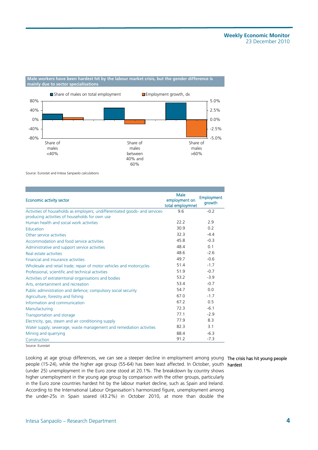#### **Male workers have been hardest hit by the labour market crisis, but the gender difference is mainly due to sector specialisations**



Source: Eurostat and Intesa Sanpaolo calculations

| <b>Economic activity sector</b>                                              | Male<br>employment on<br>total employmnet | <b>Employment</b><br>growth |
|------------------------------------------------------------------------------|-------------------------------------------|-----------------------------|
| Activities of households as employers; undifferentiated goods- and services- | 96                                        | $-0.2$                      |
| producing activities of households for own use                               |                                           |                             |
| Human health and social work activities                                      | 22.2                                      | 2.9                         |
| <b>Education</b>                                                             | 30.9                                      | 0.2                         |
| Other service activities                                                     | 32.3                                      | $-4.4$                      |
| Accommodation and food service activities                                    | 45.8                                      | $-0.3$                      |
| Administrative and support service activities                                | 48.4                                      | 0 <sub>1</sub>              |
| Real estate activities                                                       | 48.6                                      | $-26$                       |
| <b>Financial and insurance activities</b>                                    | 497                                       | $-06$                       |
| Wholesale and retail trade; repair of motor vehicles and motorcycles         | 51.4                                      | $-1.7$                      |
| Professional, scientific and technical activities                            | 51.9                                      | $-0.7$                      |
| Activities of extraterritorial organisations and bodies                      | 53.2                                      | $-3.9$                      |
| Arts, entertainment and recreation                                           | 53.4                                      | $-0.7$                      |
| Public administration and defence; compulsory social security                | 54.7                                      | 0.0                         |
| Agriculture, forestry and fishing                                            | 67 O                                      | $-1.7$                      |
| Information and communication                                                | 67.2                                      | 0 <sub>5</sub>              |
| Manufacturing                                                                | 72.3                                      | $-61$                       |
| Transportation and storage                                                   | 77 1                                      | $-2.9$                      |
| Electricity, gas, steam and air conditioning supply                          | 779                                       | 83                          |
| Water supply; sewerage, waste management and remediation activities          | 82.3                                      | 3.1                         |
| Mining and quarrying                                                         | 884                                       | $-6.3$                      |
| Construction                                                                 | 91.2                                      | $-7.3$                      |

Source: Eurostat

Looking at age group differences, we can see a steeper decline in employment among young The crisis has hit young people people (15-24), while the higher age group (55-64) has been least affected. In October, youth hardest (under 25) unemployment in the Euro zone stood at 20.1%. The breakdown by country shows higher unemployment in the young age group by comparison with the other groups, particularly in the Euro zone countries hardest hit by the labour market decline, such as Spain and Ireland. According to the International Labour Organisation's harmonized figure, unemployment among the under-25s in Spain soared (43.2%) in October 2010, at more than double the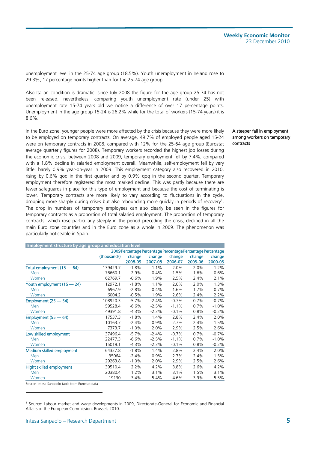unemployment level in the 25-74 age group (18.5%). Youth unemployment in Ireland rose to 29.3%, 17 percentage points higher than for the 25-74 age group.

Also Italian condition is dramatic: since July 2008 the figure for the age group 25-74 has not been released, nevertheless, comparing youth unemployment rate (under 25) with unemployment rate 15-74 years old we notice a difference of over 17 percentage points. Unemployment in the age group 15-24 is 26,2% while for the total of workers (15-74 years) it is 8.6%.

In the Euro zone, younger people were more affected by the crisis because they were more likely to be employed on temporary contracts. On average, 49.7% of employed people aged 15-24 were on temporary contracts in 2008, compared with 12% for the 25-64 age group (Eurostat average quarterly figures for 2008). Temporary workers recorded the highest job losses during the economic crisis; between 2008 and 2009, temporary employment fell by 7.4%, compared with a 1.8% decline in salaried employment overall. Meanwhile, self-employment fell by very little: barely 0.9% year-on-year in 2009. This employment category also recovered in 2010, rising by 0.6% qoq in the first quarter and by 0.9% qoq in the second quarter. Temporary employment therefore registered the most marked decline. This was partly because there are fewer safeguards in place for this type of employment and because the cost of terminating is lower. Temporary contracts are more likely to vary according to fluctuations in the cycle, dropping more sharply during crises but also rebounding more quickly in periods of recovery<sup>1</sup>. The drop in numbers of temporary employees can also clearly be seen in the figures for temporary contracts as a proportion of total salaried employment. The proportion of temporary contracts, which rose particularly steeply in the period preceding the crisis, declined in all the main Euro zone countries and in the Euro zone as a whole in 2009. The phenomenon was particularly noticeable in Spain.

| <b>Employment structure by age group and education level</b> |             |          |                                                             |         |         |         |
|--------------------------------------------------------------|-------------|----------|-------------------------------------------------------------|---------|---------|---------|
|                                                              |             |          | 2009 Percentage Percentage Percentage Percentage Percentage |         |         |         |
|                                                              | (thousands) | change   | change                                                      | change  | change  | change  |
|                                                              |             | 2008-09  | 2007-08                                                     | 2006-07 | 2005-06 | 2000-05 |
| Total employment (15 - 64)                                   | 139429.7    | $-1.8%$  | 1.1%                                                        | 2.0%    | 2.0%    | 1.2%    |
| Men                                                          | 76660.1     | $-2.9%$  | 0.4%                                                        | 1.5%    | 1.6%    | 0.6%    |
| Women                                                        | 62769.7     | $-0.6%$  | 1.9%                                                        | 2.5%    | 2.4%    | 2.1%    |
| Youth employment (15 - 24)                                   | 12972.1     | $-1.8%$  | 1.1%                                                        | 2.0%    | 2.0%    | 1.3%    |
| <b>Men</b>                                                   | 6967.9      | $-2.8%$  | 0.4%                                                        | 1.6%    | 1.7%    | 0.7%    |
| Women                                                        | 6004.2      | $-0.5%$  | 1.9%                                                        | 2.6%    | 2.4%    | 2.2%    |
| Employment $(25 - 54)$                                       | 108920.3    | $-5.7%$  | $-2.4%$                                                     | $-0.7%$ | 0.7%    | $-0.7%$ |
| Men                                                          | 59528.4     | $-6.6%$  | $-2.5%$                                                     | $-1.1%$ | 0.7%    | $-1.0%$ |
| Women                                                        | 49391.8     | $-4.3%$  | $-2.3%$                                                     | $-0.1%$ | 0.8%    | $-0.2%$ |
| Employment $(55 - 64)$                                       | 17537.3     | $-1.8%$  | 1.4%                                                        | 2.8%    | 2.4%    | 2.0%    |
| <b>Men</b>                                                   | 10163.7     | $-2.4%$  | 0.9%                                                        | 2.7%    | 2.4%    | 1.5%    |
| Women                                                        | 7373.7      | $-1.0%$  | 2.0%                                                        | 2.9%    | 2.5%    | 2.6%    |
| Low skilled employment                                       | 37496.4     | $-5.7%$  | $-2.4%$                                                     | $-0.7%$ | 0.7%    | $-0.7%$ |
| Men                                                          | 22477.3     | $-6.6%$  | $-2.5%$                                                     | $-1.1%$ | 0.7%    | $-1.0%$ |
| Women                                                        | 15019.1     | $-4.3%$  | $-2.3%$                                                     | $-0.1%$ | 0.8%    | $-0.2%$ |
| Medium skilled employment                                    | 64327.8     | $-1.8%$  | 1.4%                                                        | 2.8%    | 2.4%    | 2.0%    |
| Men                                                          | 35064       | $-2.4%$  | 0.9%                                                        | 2.7%    | 2.4%    | 1.5%    |
| Women                                                        | 29263.8     | $-1.0\%$ | 2.0%                                                        | 2.9%    | 2.5%    | 2.6%    |
| Hight skilled employment                                     | 39510.4     | 2.2%     | 4.2%                                                        | 3.8%    | 2.6%    | 4.2%    |
| Men                                                          | 20380.4     | 1.2%     | 3.1%                                                        | 3.1%    | 1.5%    | 3.1%    |
| Women                                                        | 19130       | 3.4%     | 5.4%                                                        | 4.6%    | 3.9%    | 5.5%    |
|                                                              |             |          |                                                             |         |         |         |

Source: Intesa Sanpaolo table from Eurostat data

-

#### A steeper fall in employment among workers on temporary contracts

<sup>1</sup> Source: Labour market and wage developments in 2009, Directorate-General for Economic and Financial Affairs of the European Commission, Brussels 2010.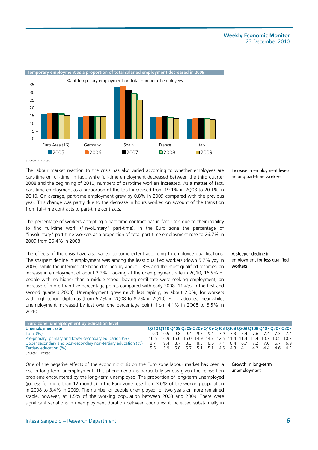

Source: Eurostat

The labour market reaction to the crisis has also varied according to whether employees are part-time or full-time. In fact, while full-time employment decreased between the third quarter 2008 and the beginning of 2010, numbers of part-time workers increased. As a matter of fact, part-time employment as a proportion of the total increased from 19.1% in 2Q08 to 20.1% in 2Q10. On average, part-time employment grew by 0.8% in 2009 compared with the previous year. This change was partly due to the decrease in hours worked on account of the transition from full-time contracts to part-time contracts.

The percentage of workers accepting a part-time contract has in fact risen due to their inability to find full-time work ("involuntary" part-time). In the Euro zone the percentage of "involuntary" part-time workers as a proportion of total part-time employment rose to 26.7% in 2009 from 25.4% in 2008.

The effects of the crisis have also varied to some extent according to employee qualifications. The sharpest decline in employment was among the least qualified workers (down 5.7% yoy in 2009), while the intermediate band declined by about 1.8% and the most qualified recorded an increase in employment of about 2.2%. Looking at the unemployment rate in 2Q10, 16.5% of people with no higher than a middle-school leaving certificate were seeking employment, an increase of more than five percentage points compared with early 2008 (11.4% in the first and second quarters 2008). Unemployment grew much less rapidly, by about 2.0%, for workers with high school diplomas (from 6.7% in 2Q08 to 8.7% in 2Q10). For graduates, meanwhile, unemployment increased by just over one percentage point, from 4.1% in 2Q08 to 5.5% in 2Q10.

#### Increase in employment levels among part-time workers

#### A steeper decline in employment for less qualified workers

| <b>Euro zone: unemployment by education level</b>             |                                                                  |                                                                  |  |  |  |  |  |  |
|---------------------------------------------------------------|------------------------------------------------------------------|------------------------------------------------------------------|--|--|--|--|--|--|
| Unemployment rate                                             | Q210 Q110 Q409 Q309 Q209 Q109 Q408 Q308 Q208 Q108 Q407 Q307 Q207 |                                                                  |  |  |  |  |  |  |
| Total $(\% )$                                                 |                                                                  | 9.9 10.5 9.8 9.4 9.3 9.4 7.9 7.3 7.4 7.6 7.4 7.3 7.4             |  |  |  |  |  |  |
| Pre-primary, primary and lower secondary education (%)        |                                                                  | 16.5 16.9 15.6 15.0 14.9 14.7 12.5 11.4 11.4 11.4 10.7 10.5 10.7 |  |  |  |  |  |  |
| Upper secondary and post-secondary non-tertiary education (%) |                                                                  | 8.7 9.4 8.7 8.3 8.3 8.5 7.1 6.4 6.7 7.2 7.0 6.7 6.9              |  |  |  |  |  |  |
| Tertiary education (%)                                        |                                                                  | 5.5 5.9 5.8 5.7 5.1 5.1 4.5 4.3 4.1 4.2 4.4 4.6 4.3              |  |  |  |  |  |  |
| Source: Eurostat                                              |                                                                  |                                                                  |  |  |  |  |  |  |

One of the negative effects of the economic crisis on the Euro zone labour market has been a rise in long-term unemployment. This phenomenon is particularly serious given the reinsertion problems encountered by the long-term unemployed. The proportion of long-term unemployed (jobless for more than 12 months) in the Euro zone rose from 3.0% of the working population in 2008 to 3.4% in 2009. The number of people unemployed for two years or more remained stable, however, at 1.5% of the working population between 2008 and 2009. There were significant variations in unemployment duration between countries: it increased substantially in

Growth in long-term unemployment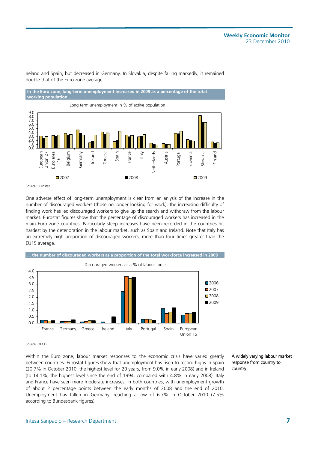Ireland and Spain, but decreased in Germany. In Slovakia, despite falling markedly, it remained double that of the Euro zone average.





Source: Eurostat

One adverse effect of long-term unemployment is clear from an anlysis of the increase in the number of discouraged workers (those no longer looking for work): the increasing difficulty of finding work has led discouraged workers to give up the search and withdraw from the labour market. Eurostat figures show that the percentage of discouraged workers has increased in the main Euro zone countries. Particularly steep increases have been recorded in the countries hit hardest by the deterioration in the labour market, such as Spain and Ireland. Note that Italy has an extremely high proportion of discouraged workers, more than four times greater than the EU15 average.



Source: OECD

Within the Euro zone, labour market responses to the economic crisis have varied greatly between countries. Eurostat figures show that unemployment has risen to record highs in Spain (20.7% in October 2010, the highest level for 20 years, from 9.0% in early 2008) and in Ireland (to 14.1%, the highest level since the end of 1994, compared with 4.8% in early 2008). Italy and France have seen more moderate increases: in both countries, with unemployment growth of about 2 percentage points between the early months of 2008 and the end of 2010. Unemployment has fallen in Germany, reaching a low of 6.7% in October 2010 (7.5% according to Bundesbank figures).

A widely varying labour market response from country to country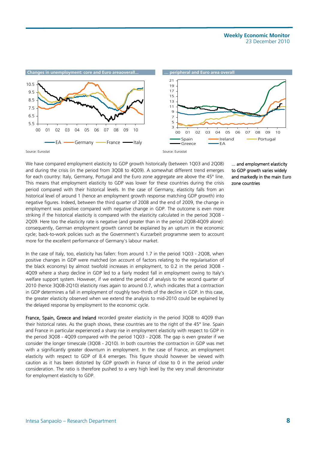

We have compared employment elasticity to GDP growth historically (between 1Q03 and 2Q08) and during the crisis (in the period from 3Q08 to 4Q09). A somewhat different trend emerges for each country: Italy, Germany, Portugal and the Euro zone aggregate are above the 45° line. This means that employment elasticity to GDP was lower for these countries during the crisis period compared with their historical levels. In the case of Germany, elasticity falls from an historical level of around 1 (hence an employment growth response matching GDP growth) into negative figures. Indeed, between the third quarter of 2008 and the end of 2009, the change in employment was positive compared with negative change in GDP. The outcome is even more striking if the historical elasticity is compared with the elasticity calculated in the period 3Q08 - 2Q09. Here too the elasticity rate is negative (and greater than in the period 2Q08-4Q09 alone): consequently, German employment growth cannot be explained by an upturn in the economic cycle; back-to-work policies such as the Government's Kurzarbeit programme seem to account more for the excellent performance of Germany's labour market.

In the case of Italy, too, elasticity has fallen: from around 1.7 in the period 1Q03 - 2Q08, when positive changes in GDP were matched (on account of factors relating to the regularisation of the black economy) by almost twofold increases in employment, to 0.2 in the period 3Q08 - 4Q09 where a sharp decline in GDP led to a fairly modest fall in employment owing to Italy's welfare support system. However, if we extend the period of analysis to the second quarter of 2010 (hence 3Q08-2Q10) elasticity rises again to around 0.7, which indicates that a contraction in GDP determines a fall in employment of roughly two-thirds of the decline in GDP. In this case, the greater elasticity observed when we extend the analysis to mid-2010 could be explained by the delayed response by employment to the economic cycle.

France, Spain, Greece and Ireland recorded greater elasticity in the period 3Q08 to 4Q09 than their historical rates. As the graph shows, these countries are to the right of the 45° line. Spain and France in particular experienced a sharp rise in employment elasticity with respect to GDP in the period 3Q08 - 4Q09 compared with the period 1Q03 - 2Q08. The gap is even greater if we consider the longer timescale (3Q08 - 2Q10). In both countries the contraction in GDP was met with a significantly greater downturn in employment. In the case of France, an employment elasticity with respect to GDP of 8.4 emerges. This figure should however be viewed with caution as it has been distorted by GDP growth in France of close to 0 in the period under consideration. The ratio is therefore pushed to a very high level by the very small denominator for employment elasticity to GDP.

... and employment elasticity to GDP growth varies widely and markedly in the main Euro zone countries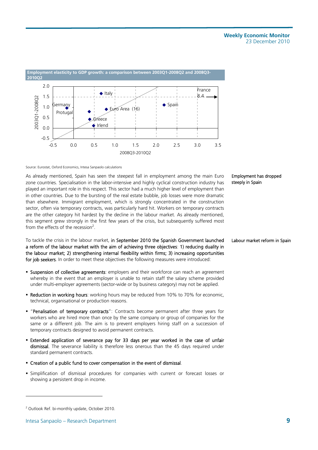

Source: Eurostat, Oxford Economics, Intesa Sanpaolo calculations

As already mentioned, Spain has seen the steepest fall in employment among the main Euro zone countries. Specialisation in the labor-intensive and highly cyclical construction industry has played an important role in this respect. This sector had a much higher level of employment than in other countries. Due to the bursting of the real estate bubble, job losses were more dramatic than elsewhere. Immigrant employment, which is strongly concentrated in the construction sector, often via temporary contracts, was particularly hard hit. Workers on temporary contracts are the other category hit hardest by the decline in the labour market. As already mentioned, this segment grew strongly in the first few years of the crisis, but subsequently suffered most from the effects of the recession<sup>2</sup>.

To tackle the crisis in the labour market, in September 2010 the Spanish Government launched a reform of the labour market with the aim of achieving three objectives: 1) reducing duality in the labour market; 2) strengthening internal flexibility within firms; 3) increasing opportunities for job seekers. In order to meet these objectives the following measures were introduced:

- **Suspension of collective agreements**: employers and their workforce can reach an agreement whereby in the event that an employer is unable to retain staff the salary scheme provided under multi-employer agreements (sector-wide or by business category) may not be applied.
- Reduction in working hours: working hours may be reduced from 10% to 70% for economic, technical, organisational or production reasons.
- "Penalisation of temporary contracts": Contracts become permanent after three years for workers who are hired more than once by the same company or group of companies for the same or a different job. The aim is to prevent employers hiring staff on a succession of temporary contracts designed to avoid permanent contracts.
- Extended application of severance pay for 33 days per year worked in the case of unfair dismissal. The severance liability is therefore less onerous than the 45 days required under standard permanent contracts.
- Creation of a public fund to cover compensation in the event of dismissal.
- Simplification of dismissal procedures for companies with current or forecast losses or showing a persistent drop in income.

#### Employment has dropped steeply in Spain

#### Labour market reform in Spain

l

<sup>&</sup>lt;sup>2</sup> Outlook Ref. bi-monthly update, October 2010.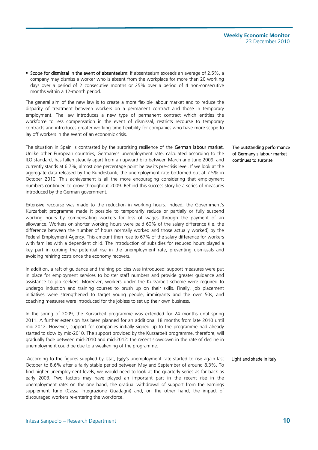**Scope for dismissal in the event of absenteeism:** If absenteeism exceeds an average of 2.5%, a company may dismiss a worker who is absent from the workplace for more than 20 working days over a period of 2 consecutive months or 25% over a period of 4 non-consecutive months within a 12-month period.

The general aim of the new law is to create a more flexible labour market and to reduce the disparity of treatment between workers on a permanent contract and those in temporary employment. The law introduces a new type of permanent contract which entitles the workforce to less compensation in the event of dismissal, restricts recourse to temporary contracts and introduces greater working time flexibility for companies who have more scope to lay off workers in the event of an economic crisis.

The situation in Spain is contrasted by the surprising resilience of the German labour market. Unlike other European countries, Germany's unemployment rate, calculated according to the ILO standard, has fallen steadily apart from an upward blip between March and June 2009, and currently stands at 6.7%, almost one percentage point below its pre-crisis level. If we look at the aggregate data released by the Bundesbank, the unemployment rate bottomed out at 7.5% in October 2010. This achievement is all the more encouraging considering that employment numbers continued to grow throughout 2009. Behind this success story lie a series of measures introduced by the German government.

Extensive recourse was made to the reduction in working hours. Indeed, the Government's Kurzarbeit programme made it possible to temporarily reduce or partially or fully suspend working hours by compensating workers for loss of wages through the payment of an allowance. Workers on shorter working hours were paid 60% of the salary difference (i.e. the difference between the number of hours normally worked and those actually worked) by the Federal Employment Agency. This amount then rose to 67% of the salary difference for workers with families with a dependent child. The introduction of subsidies for reduced hours played a key part in curbing the potential rise in the unemployment rate, preventing dismissals and avoiding rehiring costs once the economy recovers.

In addition, a raft of guidance and training policies was introduced: support measures were put in place for employment services to bolster staff numbers and provide greater guidance and assistance to job seekers. Moreover, workers under the Kurzarbeit scheme were required to undergo induction and training courses to brush up on their skills. Finally, job placement initiatives were strengthened to target young people, immigrants and the over 50s, and coaching measures were introduced for the jobless to set up their own business.

In the spring of 2009, the Kurzarbeit programme was extended for 24 months until spring 2011. A further extension has been planned for an additional 18 months from late 2010 until mid-2012. However, support for companies initially signed up to the programme had already started to slow by mid-2010. The support provided by the Kurzarbeit programme, therefore, will gradually fade between mid-2010 and mid-2012: the recent slowdown in the rate of decline in unemployment could be due to a weakening of the programme.

According to the figures supplied by Istat, Italy's unemployment rate started to rise again last October to 8.6% after a fairly stable period between May and September of around 8.3%. To find higher unemployment levels, we would need to look at the quarterly series as far back as early 2003. Two factors may have played an important part in the recent rise in the unemployment rate: on the one hand, the gradual withdrawal of support from the earnings supplement fund (Cassa Integrazione Guadagni) and, on the other hand, the impact of discouraged workers re-entering the workforce.

The outstanding performance of Germany's labour market continues to surprise

#### Light and shade in Italy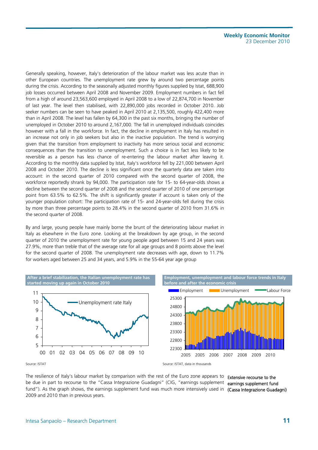Generally speaking, however, Italy's deterioration of the labour market was less acute than in other European countries. The unemployment rate grew by around two percentage points during the crisis. According to the seasonally adjusted monthly figures supplied by Istat, 688,900 job losses occurred between April 2008 and November 2009. Employment numbers in fact fell from a high of around 23,563,600 employed in April 2008 to a low of 22,874,700 in November of last year. The level then stabilised, with 22,890,000 jobs recorded in October 2010. Job seeker numbers can be seen to have peaked in April 2010 at 2,135,500, roughly 422,400 more than in April 2008. The level has fallen by 64,300 in the past six months, bringing the number of unemployed in October 2010 to around 2,167,000. The fall in unemployed individuals coincides however with a fall in the workforce. In fact, the decline in employment in Italy has resulted in an increase not only in job seekers but also in the inactive population. The trend is worrying given that the transition from employment to inactivity has more serious social and economic consequences than the transition to unemployment. Such a choice is in fact less likely to be reversible as a person has less chance of re-entering the labour market after leaving it. According to the monthly data supplied by Istat, Italy's workforce fell by 221,000 between April 2008 and October 2010. The decline is less significant once the quarterly data are taken into account: in the second quarter of 2010 compared with the second quarter of 2008, the workforce reportedly shrank by 94,000. The participation rate for 15- to 64-year-olds shows a decline between the second quarter of 2008 and the second quarter of 2010 of one percentage point from 63.5% to 62.5%. The shift is significantly greater if account is taken only of the younger population cohort: The participation rate of 15- and 24-year-olds fell during the crisis by more than three percentage points to 28.4% in the second quarter of 2010 from 31.6% in the second quarter of 2008.

By and large, young people have mainly borne the brunt of the deteriorating labour market in Italy as elsewhere in the Euro zone. Looking at the breakdown by age group, in the second quarter of 2010 the unemployment rate for young people aged between 15 and 24 years was 27.9%, more than treble that of the average rate for all age groups and 8 points above the level for the second quarter of 2008. The unemployment rate decreases with age, down to 11.7% for workers aged between 25 and 34 years, and 5.9% in the 55-64 year age group



The resilience of Italy's labour market by comparison with the rest of the Euro zone appears to **Extensive recourse to the** be due in part to recourse to the "Cassa Integrazione Guadagni" (CIG, "earnings supplement earnings supplement fund fund"). As the graph shows, the earnings supplement fund was much more intensively used in (Cassa Integrazione Guadagni) 2009 and 2010 than in previous years.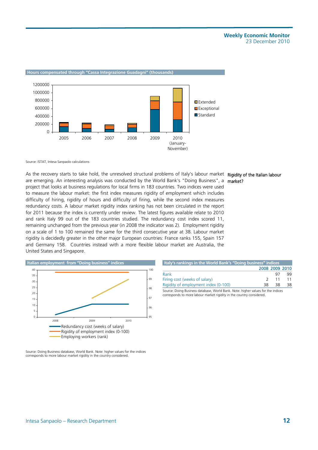

#### **Hours compensated through "Cassa Integrazione Guadagni" (thousands)**

Source: ISTAT, Intesa Sanpaolo calculations

As the recovery starts to take hold, the unresolved structural problems of Italy's labour market **Rigidity of the Italian labour** are emerging. An interesting analysis was conducted by the World Bank's "Doing Business", a market? project that looks at business regulations for local firms in 183 countries. Two indices were used to measure the labour market: the first index measures rigidity of employment which includes difficulty of hiring, rigidity of hours and difficulty of firing, while the second index measures redundancy costs. A labour market rigidity index ranking has not been circulated in the report for 2011 because the index is currently under review. The latest figures available relate to 2010 and rank Italy 99 out of the 183 countries studied. The redundancy cost index scored 11, remaining unchanged from the previous year (in 2008 the indicator was 2). Employment rigidity on a scale of 1 to 100 remained the same for the third consecutive year at 38. Labour market rigidity is decidedly greater in the other major European countries: France ranks 155, Spain 157 and Germany 158. Countries instead with a more flexible labour market are Australia, the United States and Singapore.



Source: Doing Business database, World Bank. Note: higher values for the indices corresponds to more labour market rigidity in the country considered.

| Italy's rankings in the World Bank's "Doing business" indices                    |               |                |    |
|----------------------------------------------------------------------------------|---------------|----------------|----|
|                                                                                  |               | 2008 2009 2010 |    |
| Rank                                                                             |               | 97             | 99 |
| Firing cost (weeks of salary)                                                    | $\mathcal{P}$ | 11             | 11 |
| Rigidity of employment index (0-100)                                             | 38            | 38             | 38 |
| Course: Doing Business detabase, Marid Bank, Note: bigher unluss for the indicas |               |                |    |

Source: Doing Business database, World Bank. Note: higher values for the indices corresponds to more labour market rigidity in the country considered.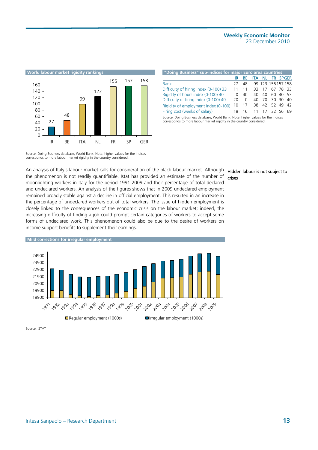

| "Doing Business" sub-indices for major Euro area countries                       |              |    |     |    |                    |          |
|----------------------------------------------------------------------------------|--------------|----|-----|----|--------------------|----------|
|                                                                                  | IR           | ВF |     |    | ITA NL FR SPGER    |          |
| Rank                                                                             | 27           | 48 |     |    | 99 123 155 157 158 |          |
| Difficulty of hiring index (0-100) 33                                            | 11           | 11 |     |    | 33 17 67 78 33     |          |
| Rigidity of hours index (0-100) 40                                               | <sup>n</sup> | 40 | 40. | 40 |                    | 60 40 53 |
| Difficulty of firing index (0-100) 40                                            | 20           | 0  | 40  |    | 70 30 30 40        |          |
| Rigidity of employment index (0-100)                                             | 10           |    |     |    | 38 42 52 49 42     |          |
| Firing cost (weeks of salary)                                                    | 18           | 16 |     |    | 11 17 32 56 69     |          |
| Source: Doing Rusiness database, World Rank, Note: higher values for the indices |              |    |     |    |                    |          |

Source: Doing Business database, World Bank. Note: higher values for the indices corresponds to more labour market rigidity in the country considered.

Source: Doing Business database, World Bank. Note: higher values for the indices corresponds to more labour market rigidity in the country considered.

An analysis of Italy's labour market calls for consideration of the black labour market. Although the phenomenon is not readily quantifiable, Istat has provided an estimate of the number of moonlighting workers in Italy for the period 1991-2009 and their percentage of total declared and undeclared workers. An analysis of the figures shows that in 2009 undeclared employment remained broadly stable against a decline in official employment. This resulted in an increase in the percentage of undeclared workers out of total workers. The issue of hidden employment is closely linked to the consequences of the economic crisis on the labour market; indeed, the increasing difficulty of finding a job could prompt certain categories of workers to accept some forms of undeclared work. This phenomenon could also be due to the desire of workers on income support benefits to supplement their earnings.



**Mild corrections for irregular employment**  18900 19900 20900 21900 22900 23900 24900 1991 1992 1994 1996 1997 1,098 1999 2009 , 2001 2002 2004 2012 2019 201 1,208 1,009 ■ Regular employment (1000s) Irregular employment (1000s)

Source: ISTAT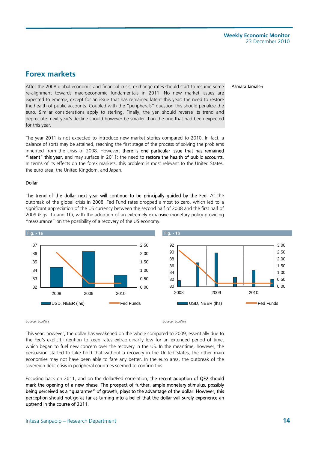Asmara Jamaleh

## **Forex markets**

After the 2008 global economic and financial crisis, exchange rates should start to resume some re-alignment towards macroeconomic fundamentals in 2011. No new market issues are expected to emerge, except for an issue that has remained latent this year: the need to restore the health of public accounts. Coupled with the "peripherals" question this should penalize the euro. Similar considerations apply to sterling. Finally, the yen should reverse its trend and depreciate: next year's decline should however be smaller than the one that had been expected for this year.

The year 2011 is not expected to introduce new market stories compared to 2010. In fact, a balance of sorts may be attained, reaching the first stage of the process of solving the problems inherited from the crisis of 2008. However, there is one particular issue that has remained "latent" this year, and may surface in 2011: the need to restore the health of public accounts. In terms of its effects on the forex markets, this problem is most relevant to the United States, the euro area, the United Kingdom, and Japan.

#### Dollar

The trend of the dollar next year will continue to be principally guided by the Fed. At the outbreak of the global crisis in 2008, Fed Fund rates dropped almost to zero, which led to a significant appreciation of the US currency between the second half of 2008 and the first half of 2009 (Figs. 1a and 1b), with the adoption of an extremely expansive monetary policy providing "reassurance" on the possibility of a recovery of the US economy.



#### Source: EcoWin Source: EcoWin Source: EcoWin Source: EcoWin Source: EcoWin Source: EcoWin Source: EcoWin Source: EcoWin Source: EcoWin Source: EcoWin Source: EcoWin Source: EcoWin Source: EcoWin Source: EcoWin Source: EcoW

This year, however, the dollar has weakened on the whole compared to 2009, essentially due to the Fed's explicit intention to keep rates extraordinarily low for an extended period of time, which began to fuel new concern over the recovery in the US. In the meantime, however, the persuasion started to take hold that without a recovery in the United States, the other main economies may not have been able to fare any better. In the euro area, the outbreak of the sovereign debt crisis in peripheral countries seemed to confirm this.

Focusing back on 2011, and on the dollar/Fed correlation, the recent adoption of QE2 should mark the opening of a new phase. The prospect of further, ample monetary stimulus, possibly being perceived as a "guarantee" of growth, plays to the advantage of the dollar. However, this perception should not go as far as turning into a belief that the dollar will surely experience an uptrend in the course of 2011.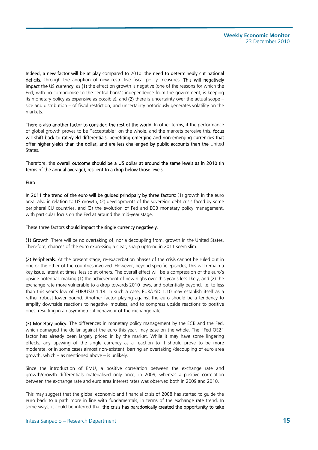Indeed, a new factor will be at play compared to 2010: the need to determinedly cut national deficits, through the adoption of new restrictive fiscal policy measures. This will negatively impact the US currency, as (1) the effect on growth is negative (one of the reasons for which the Fed, with no compromise to the central bank's independence from the government, is keeping its monetary policy as expansive as possible), and  $(2)$  there is uncertainty over the actual scope – size and distribution – of fiscal restriction, and uncertainty notoriously generates volatility on the markats

There is also another factor to consider: the rest of the world. In other terms, if the performance of global growth proves to be "acceptable" on the whole, and the markets perceive this, focus will shift back to rate/yield differentials, benefiting emerging and non-emerging currencies that offer higher yields than the dollar, and are less challenged by public accounts than the United States.

Therefore, the overall outcome should be a US dollar at around the same levels as in 2010 (in terms of the annual average), resilient to a drop below those levels.

#### Euro

In 2011 the trend of the euro will be guided principally by three factors: (1) growth in the euro area, also in relation to US growth, (2) developments of the sovereign debt crisis faced by some peripheral EU countries, and (3) the evolution of Fed and ECB monetary policy management, with particular focus on the Fed at around the mid-year stage.

These three factors should impact the single currency negatively.

(1) Growth. There will be no overtaking of, nor a decoupling from, growth in the United States. Therefore, chances of the euro expressing a clear, sharp uptrend in 2011 seem slim.

(2) Peripherals. At the present stage, re-exacerbation phases of the crisis cannot be ruled out in one or the other of the countries involved. However, beyond specific episodes, this will remain a key issue, latent at times, less so at others. The overall effect will be a compression of the euro's upside potential, making (1) the achievement of new highs over this year's less likely, and (2) the exchange rate more vulnerable to a drop towards 2010 lows, and potentially beyond, i.e. to less than this year's low of EUR/USD 1.18. In such a case, EUR/USD 1.10 may establish itself as a rather robust lower bound. Another factor playing against the euro should be a tendency to amplify downside reactions to negative impulses, and to compress upside reactions to positive ones, resulting in an asymmetrical behaviour of the exchange rate.

(3) Monetary policy. The differences in monetary policy management by the ECB and the Fed, which damaged the dollar against the euro this year, may ease on the whole. The "Fed QE2" factor has already been largely priced in by the market. While it may have some lingering effects, any upswing of the single currency as a reaction to it should prove to be more moderate, or in some cases almost non-existent, barring an overtaking /decoupling of euro area growth, which – as mentioned above – is unlikely.

Since the introduction of EMU, a positive correlation between the exchange rate and growth/growth differentials materialised only once, in 2009, whereas a positive correlation between the exchange rate and euro area interest rates was observed both in 2009 and 2010.

This may suggest that the global economic and financial crisis of 2008 has started to guide the euro back to a path more in line with fundamentals, in terms of the exchange rate trend. In some ways, it could be inferred that the crisis has paradoxically created the opportunity to take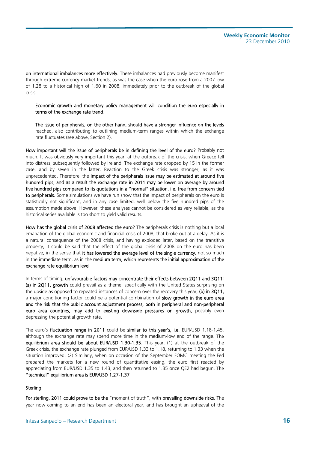on international imbalances more effectively. These imbalances had previously become manifest through extreme currency market trends, as was the case when the euro rose from a 2007 low of 1.28 to a historical high of 1.60 in 2008, immediately prior to the outbreak of the global crisis.

Economic growth and monetary policy management will condition the euro especially in terms of the exchange rate trend.

The issue of peripherals, on the other hand, should have a stronger influence on the levels reached, also contributing to outlining medium-term ranges within which the exchange rate fluctuates (see above, Section 2).

How important will the issue of peripherals be in defining the level of the euro? Probably not much. It was obviously very important this year, at the outbreak of the crisis, when Greece fell into distress, subsequently followed by Ireland. The exchange rate dropped by 15 in the former case, and by seven in the latter. Reaction to the Greek crisis was stronger, as it was unprecedented. Therefore, the impact of the peripherals issue may be estimated at around five hundred pips, and as a result the exchange rate in 2011 may be lower on average by around five hundred pips compared to its quotations in a "normal" situation, i.e. free from concern tied to peripherals. Some simulations we have run show that the impact of peripherals on the euro is statistically not significant, and in any case limited, well below the five hundred pips of the assumption made above. However, these analyses cannot be considered as very reliable, as the historical series available is too short to yield valid results.

How has the global crisis of 2008 affected the euro? The peripherals crisis is nothing but a local emanation of the global economic and financial crisis of 2008, that broke out at a delay. As it is a natural consequence of the 2008 crisis, and having exploded later, based on the transitive property, it could be said that the effect of the global crisis of 2008 on the euro has been negative, in the sense that it has lowered the average level of the single currency, not so much in the immediate term, as in the medium term, which represents the initial approximation of the exchange rate equilibrium level.

In terms of timing, unfavourable factors may concentrate their effects between 2Q11 and 3Q11: (a) in 2011, growth could prevail as a theme, specifically with the United States surprising on the upside as opposed to repeated instances of concern over the recovery this year; (b) in 3Q11, a major conditioning factor could be a potential combination of slow growth in the euro area and the risk that the public account adjustment process, both in peripheral and non-peripheral euro area countries, may add to existing downside pressures on growth, possibly even depressing the potential growth rate.

The euro's fluctuation range in 2011 could be similar to this year's, i.e. EUR/USD 1.18-1.45, although the exchange rate may spend more time in the medium-low end of the range. The equilibrium area should be about EUR/USD 1.30-1.35. This year, (1) at the outbreak of the Greek crisis, the exchange rate plunged from EUR/USD 1.33 to 1.18, returning to 1.33 when the situation improved. (2) Similarly, when on occasion of the September FOMC meeting the Fed prepared the markets for a new round of quantitative easing, the euro first reacted by appreciating from EUR/USD 1.35 to 1.43, and then returned to 1.35 once QE2 had begun. The "technical" equilibrium area is EUR/USD 1.27-1.37

#### Sterling

For sterling, 2011 could prove to be the "moment of truth", with prevailing downside risks. The year now coming to an end has been an electoral year, and has brought an upheaval of the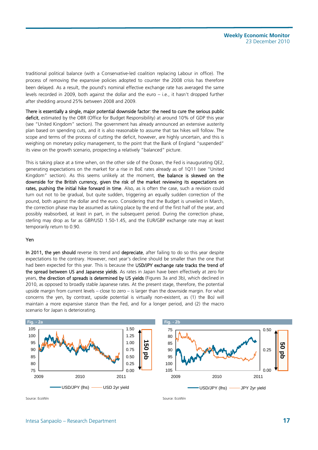traditional political balance (with a Conservative-led coalition replacing Labour in office). The process of removing the expansive policies adopted to counter the 2008 crisis has therefore been delayed. As a result, the pound's nominal effective exchange rate has averaged the same levels recorded in 2009, both against the dollar and the euro – i.e., it hasn't dropped further after shedding around 25% between 2008 and 2009.

There is essentially a single, major potential downside factor: the need to cure the serious public deficit, estimated by the OBR (Office for Budget Responsibility) at around 10% of GDP this year (see "United Kingdom" section). The government has already announced an extensive austerity plan based on spending cuts, and it is also reasonable to assume that tax hikes will follow. The scope and terms of the process of cutting the deficit, however, are highly uncertain, and this is weighing on monetary policy management, to the point that the Bank of England "suspended" its view on the growth scenario, prospecting a relatively "balanced" picture.

This is taking place at a time when, on the other side of the Ocean, the Fed is inaugurating QE2, generating expectations on the market for a rise in BoE rates already as of 1Q11 (see "United Kingdom" section). As this seems unlikely at the moment, the balance is skewed on the downside for the British currency, given the risk of the market reviewing its expectations on rates, pushing the initial hike forward in time. Also, as is often the case, such a revision could turn out not to be gradual, but quite sudden, triggering an equally sudden correction of the pound, both against the dollar and the euro. Considering that the Budget is unveiled in March, the correction phase may be assumed as taking place by the end of the first half of the year, and possibly reabsorbed, at least in part, in the subsequent period. During the correction phase, sterling may drop as far as GBP/USD 1.50-1.45, and the EUR/GBP exchange rate may at least temporarily return to 0.90.

#### Yen

In 2011, the yen should reverse its trend and depreciate, after failing to do so this year despite expectations to the contrary. However, next year's decline should be smaller than the one that had been expected for this year. This is because the USD/JPY exchange rate tracks the trend of the spread between US and Japanese yields. As rates in Japan have been effectively at zero for years, the direction of spreads is determined by US yields (Figures 3a and 3b), which declined in 2010, as opposed to broadly stable Japanese rates. At the present stage, therefore, the potential upside margin from current levels – close to zero – is larger than the downside margin. For what concerns the yen, by contrast, upside potential is virtually non-existent, as (1) the BoJ will maintain a more expansive stance than the Fed, and for a longer period, and (2) the macro scenario for Japan is deteriorating.

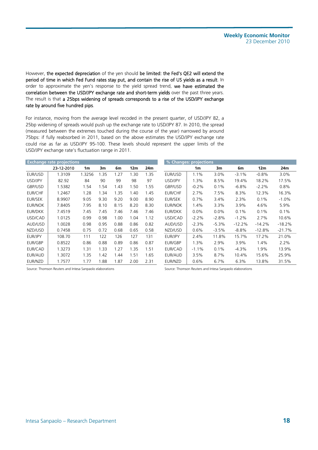However, the expected depreciation of the yen should be limited: the Fed's QE2 will extend the period of time in which Fed Fund rates stay put, and contain the rise of US yields as a result. In order to approximate the yen's response to the yield spread trend, we have estimated the correlation between the USD/JPY exchange rate and short-term yields over the past three years. The result is that a 25bps widening of spreads corresponds to a rise of the USD/JPY exchange rate by around five hundred pips.

For instance, moving from the average level recoded in the present quarter, of USD/JPY 82, a 25bp widening of spreads would push up the exchange rate to USD/JPY 87. In 2010, the spread (measured between the extremes touched during the course of the year) narrowed by around 75bps: if fully reabsorbed in 2011, based on the above estimates the USD/JPY exchange rate could rise as far as USD/JPY 95-100. These levels should represent the upper limits of the USD/JPY exchange rate's fluctuation range in 2011.

|                | <b>Exchange rate projections</b> |        |      |      |                 |      | % Changes: projections |                |         |          |                 |          |
|----------------|----------------------------------|--------|------|------|-----------------|------|------------------------|----------------|---------|----------|-----------------|----------|
|                | 23-12-2010                       | 1m     | 3m   | 6m   | 12 <sub>m</sub> | 24m  |                        | 1 <sub>m</sub> | 3m      | 6m       | 12 <sub>m</sub> | 24m      |
| <b>EUR/USD</b> | 1.3109                           | 1.3256 | 1.35 | 1.27 | 1.30            | 1.35 | EUR/USD                | 1.1%           | 3.0%    | $-3.1%$  | $-0.8%$         | 3.0%     |
| USD/JPY        | 82.92                            | 84     | 90   | 99   | 98              | 97   | USD/JPY                | 1.3%           | 8.5%    | 19.4%    | 18.2%           | 17.5%    |
| GBP/USD        | 1.5382                           | 1.54   | 1.54 | 1.43 | 1.50            | 1.55 | GBP/USD                | $-0.2%$        | 0.1%    | $-6.8%$  | $-2.2%$         | 0.8%     |
| <b>EUR/CHF</b> | 1.2467                           | 1.28   | 1.34 | 1.35 | 1.40            | 1.45 | <b>EUR/CHF</b>         | 2.7%           | 7.5%    | 8.3%     | 12.3%           | 16.3%    |
| <b>EUR/SEK</b> | 8.9907                           | 9.05   | 9.30 | 9.20 | 9.00            | 8.90 | <b>EUR/SEK</b>         | 0.7%           | 3.4%    | 2.3%     | 0.1%            | $-1.0\%$ |
| <b>EUR/NOK</b> | 7.8405                           | 7.95   | 8.10 | 8.15 | 8.20            | 8.30 | <b>EUR/NOK</b>         | 1.4%           | 3.3%    | 3.9%     | 4.6%            | 5.9%     |
| <b>EUR/DKK</b> | 7.4519                           | 7.45   | 7.45 | 7.46 | 7.46            | 7.46 | EUR/DKK                | $0.0\%$        | 0.0%    | 0.1%     | 0.1%            | 0.1%     |
| USD/CAD        | 1.0125                           | 0.99   | 0.98 | 1.00 | 1.04            | 1.12 | USD/CAD                | $-2.2%$        | $-2.8%$ | $-1.2%$  | 2.7%            | 10.6%    |
| AUD/USD        | 1.0028                           | 0.98   | 0.95 | 0.88 | 0.86            | 0.82 | AUD/USD                | $-2.3%$        | $-5.3%$ | $-12.2%$ | $-14.2%$        | $-18.2%$ |
| NZD/USD        | 0.7458                           | 0.75   | 0.72 | 0.68 | 0.65            | 0.58 | NZD/USD                | 0.6%           | $-3.5%$ | $-8.8%$  | $-12.8%$        | $-21.7%$ |
| <b>EUR/JPY</b> | 108.70                           | 111    | 122  | 126  | 127             | 131  | EUR/JPY                | 2.4%           | 11.8%   | 15.7%    | 17.2%           | 21.0%    |
| <b>EUR/GBP</b> | 0.8522                           | 0.86   | 0.88 | 0.89 | 0.86            | 0.87 | EUR/GBP                | 1.3%           | 2.9%    | 3.9%     | 1.4%            | 2.2%     |
| <b>EUR/CAD</b> | 1.3273                           | 1.31   | 1.33 | 1.27 | 1.35            | 1.51 | EUR/CAD                | $-1.1%$        | 0.1%    | $-4.3%$  | 1.9%            | 13.9%    |
| <b>EUR/AUD</b> | 1.3072                           | 1.35   | 1.42 | 1.44 | 1.51            | 1.65 | EUR/AUD                | 3.5%           | 8.7%    | 10.4%    | 15.6%           | 25.9%    |
| EUR/NZD        | 1.7577                           | 1.77   | 1.88 | 1.87 | 2.00            | 2.31 | EUR/NZD                | 0.6%           | 6.7%    | 6.3%     | 13.8%           | 31.5%    |

| e projections |                |      |      |                 |      | % Changes: projections |                |         |          |          |          |
|---------------|----------------|------|------|-----------------|------|------------------------|----------------|---------|----------|----------|----------|
| 23-12-2010    | 1 <sub>m</sub> | 3m   | 6m   | 12 <sub>m</sub> | 24m  |                        | 1 <sub>m</sub> | 3m      | 6m       | 12m      | 24m      |
| 1.3109        | 1.3256         | 1.35 | 1.27 | 1.30            | 1.35 | EUR/USD                | 1.1%           | 3.0%    | $-3.1%$  | $-0.8%$  | 3.0%     |
| 82.92         | 84             | 90   | 99   | 98              | 97   | USD/JPY                | 1.3%           | 8.5%    | 19.4%    | 18.2%    | 17.5%    |
| 1.5382        | 1.54           | 1.54 | 1.43 | 1.50            | 1.55 | GBP/USD                | $-0.2%$        | 0.1%    | $-6.8%$  | $-2.2%$  | 0.8%     |
| 1.2467        | 1.28           | 1.34 | 1.35 | 1.40            | 1.45 | <b>EUR/CHF</b>         | 2.7%           | 7.5%    | 8.3%     | 12.3%    | 16.3%    |
| 8.9907        | 9.05           | 9.30 | 9.20 | 9.00            | 8.90 | <b>EUR/SEK</b>         | 0.7%           | 3.4%    | 2.3%     | 0.1%     | $-1.0%$  |
| 7.8405        | 7.95           | 8.10 | 8.15 | 8.20            | 8.30 | <b>EUR/NOK</b>         | 1.4%           | 3.3%    | 3.9%     | 4.6%     | 5.9%     |
| 7.4519        | 7.45           | 7.45 | 7.46 | 7.46            | 7.46 | <b>EUR/DKK</b>         | 0.0%           | 0.0%    | 0.1%     | 0.1%     | 0.1%     |
| 1.0125        | 0.99           | 0.98 | 1.00 | 1.04            | 1.12 | USD/CAD                | $-2.2%$        | $-2.8%$ | $-1.2%$  | 2.7%     | 10.6%    |
| 1.0028        | 0.98           | 0.95 | 0.88 | 0.86            | 0.82 | AUD/USD                | $-2.3%$        | $-5.3%$ | $-12.2%$ | $-14.2%$ | $-18.2%$ |
| 0.7458        | 0.75           | 0.72 | 0.68 | 0.65            | 0.58 | NZD/USD                | 0.6%           | $-3.5%$ | $-8.8%$  | $-12.8%$ | $-21.7%$ |
| 108.70        | 111            | 122  | 126  | 127             | 131  | EUR/JPY                | 2.4%           | 11.8%   | 15.7%    | 17.2%    | 21.0%    |
| 0.8522        | 0.86           | 0.88 | 0.89 | 0.86            | 0.87 | EUR/GBP                | 1.3%           | 2.9%    | 3.9%     | 1.4%     | 2.2%     |
| 1.3273        | 1.31           | 1.33 | 1.27 | 1.35            | 1.51 | EUR/CAD                | $-1.1%$        | 0.1%    | $-4.3%$  | 1.9%     | 13.9%    |
| 1.3072        | 1.35           | 1.42 | 1.44 | 1.51            | 1.65 | EUR/AUD                | 3.5%           | 8.7%    | 10.4%    | 15.6%    | 25.9%    |
| 1.7577        | 1.77           | 1.88 | 1.87 | 2.00            | 2.31 | EUR/NZD                | 0.6%           | 6.7%    | 6.3%     | 13.8%    | 31.5%    |

Source: Thomson Reuters and Intesa Sanpaolo elaborations Source: Thomson Reuters and Intesa Sanpaolo elaborations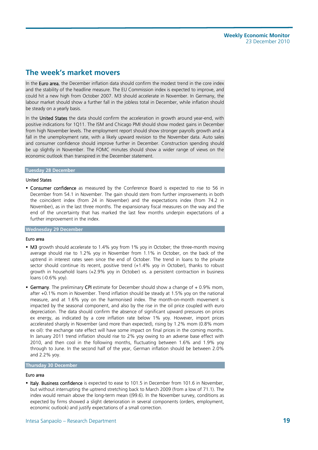## **The week's market movers**

In the Euro area, the December inflation data should confirm the modest trend in the core index and the stability of the headline measure. The EU Commission index is expected to improve, and could hit a new high from October 2007. M3 should accelerate in November. In Germany, the labour market should show a further fall in the jobless total in December, while inflation should be steady on a yearly basis.

In the United States the data should confirm the acceleration in growth around year-end, with positive indications for 1Q11. The ISM and Chicago PMI should show modest gains in December from high November levels. The employment report should show stronger payrolls growth and a fall in the unemployment rate, with a likely upward revision to the November data. Auto sales and consumer confidence should improve further in December. Construction spending should be up slightly in November. The FOMC minutes should show a wider range of views on the economic outlook than transpired in the December statement.

#### **Tuesday 28 December**

#### United States

**Consumer confidence** as measured by the Conference Board is expected to rise to 56 in December from 54.1 in November. The gain should stem from further improvements in both the coincident index (from 24 in November) and the expectations index (from 74.2 in November), as in the last three months. The expansionary fiscal measures on the way and the end of the uncertainty that has marked the last few months underpin expectations of a further improvement in the index.

#### **Wednesday 29 December**

#### Euro area

- M3 growth should accelerate to 1.4% yoy from 1% yoy in October; the three-month moving average should rise to 1.2% yoy in November from 1.1% in October, on the back of the uptrend in interest rates seen since the end of October. The trend in loans to the private sector should continue its recent, positive trend (+1.4% yoy in October), thanks to robust growth in household loans (+2.9% yoy in October) vs. a persistent contraction in business loans (-0.6% yoy).
- **Germany**. The preliminary CPI estimate for December should show a change of + 0.9% mom, after +0.1% mom in November. Trend inflation should be steady at 1.5% yoy on the national measure, and at 1.6% yoy on the harmonised index. The month-on-month movement is impacted by the seasonal component, and also by the rise in the oil price coupled with euro depreciation. The data should confirm the absence of significant upward pressures on prices ex energy, as indicated by a core inflation rate below 1% yoy. However, import prices accelerated sharply in November (and more than expected), rising by 1.2% mom (0.8% mom ex oil): the exchange rate effect will have some impact on final prices in the coming months. In January 2011 trend inflation should rise to 2% yoy owing to an adverse base effect with 2010, and then cool in the following months, fluctuating between 1.6% and 1.9% yoy through to June. In the second half of the year, German inflation should be between 2.0% and 2.2% yoy.

#### **Thursday 30 December**

#### Euro area

• Italy. Business confidence is expected to ease to 101.5 in December from 101.6 in November, but without interrupting the uptrend stretching back to March 2009 (from a low of 71.1). The index would remain above the long-term mean ((99.6). In the November survey, conditions as expected by firms showed a slight deterioration in several components (orders, employment, economic outlook) and justify expectations of a small correction.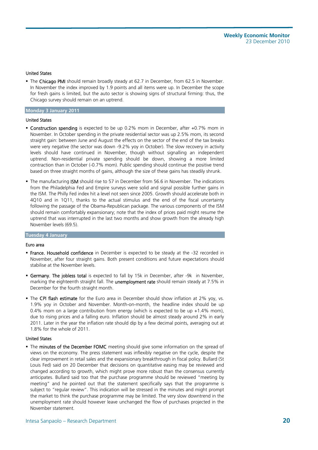#### United States

The Chicago PMI should remain broadly steady at 62.7 in December, from 62.5 in November. In November the index improved by 1.9 points and all items were up. In December the scope for fresh gains is limited, but the auto sector is showing signs of structural firming: thus, the Chicago survey should remain on an uptrend.

#### **Monday 3 January 2011**

#### United States

- Construction spending is expected to be up 0.2% mom in December, after +0.7% mom in November. In October spending in the private residential sector was up 2.5% mom, its second straight gain: between June and August the effects on the sector of the end of the tax breaks were very negative (the sector was down -9.2% yoy in October). The slow recovery in activity levels should have continued in November, though without signalling an independent uptrend. Non-residential private spending should be down, showing a more limited contraction than in October (-0.7% mom). Public spending should continue the positive trend based on three straight months of gains, although the size of these gains has steadily shrunk.
- The manufacturing **ISM** should rise to 57 in December from 56.6 in November. The indications from the Philadelphia Fed and Empire surveys were solid and signal possible further gains in the ISM. The Philly Fed index hit a level not seen since 2005. Growth should accelerate both in 4Q10 and in 1Q11, thanks to the actual stimulus and the end of the fiscal uncertainty following the passage of the Obama-Republican package. The various components of the ISM should remain comfortably expansionary; note that the index of prices paid might resume the uptrend that was interrupted in the last two months and show growth from the already high November levels (69.5).

#### **Tuesday 4 January**

#### Euro area

- **France. Household confidence** in December is expected to be steady at the -32 recorded in November, after four straight gains. Both present conditions and future expectations should stabilise at the November levels.
- **Germany. The jobless total** is expected to fall by 15k in December, after -9k in November, marking the eighteenth straight fall. The unemployment rate should remain steady at 7.5% in December for the fourth straight month.
- The CPI flash estimate for the Euro area in December should show inflation at 2% yoy, vs. 1.9% yoy in October and November. Month-on-month, the headline index should be up 0.4% mom on a large contribution from energy (which is expected to be up +1.4% mom), due to rising prices and a falling euro. Inflation should be almost steady around 2% in early 2011. Later in the year the inflation rate should dip by a few decimal points, averaging out at 1.8% for the whole of 2011.

#### United States

The minutes of the December FOMC meeting should give some information on the spread of views on the economy. The press statement was inflexibly negative on the cycle, despite the clear improvement in retail sales and the expansionary breakthrough in fiscal policy. Bullard (St Louis Fed) said on 20 December that decisions on quantitative easing may be reviewed and changed according to growth, which might prove more robust than the consensus currently anticipates. Bullard said too that the purchase programme should be reviewed "meeting by meeting" and he pointed out that the statement specifically says that the programme is subject to "regular review". This indication will be stressed in the minutes and might prompt the market to think the purchase programme may be limited. The very slow downtrend in the unemployment rate should however leave unchanged the flow of purchases projected in the November statement.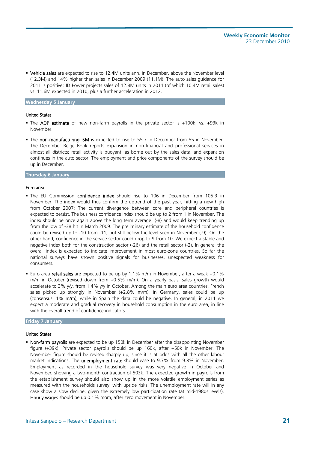Vehicle sales are expected to rise to 12.4M units ann. in December, above the November level (12.3M) and 14% higher than sales in December 2009 (11.1M). The auto sales guidance for 2011 is positive: JD Power projects sales of 12.8M units in 2011 (of which 10.4M retail sales) vs. 11.6M expected in 2010, plus a further acceleration in 2012.

#### **Wednesday 5 January**

#### United States

- The ADP estimate of new non-farm payrolls in the private sector is +100k, vs. +93k in November.
- The non-manufacturing ISM is expected to rise to 55.7 in December from 55 in November. The December Beige Book reports expansion in non-financial and professional services in almost all districts; retail activity is buoyant, as borne out by the sales data, and expansion continues in the auto sector. The employment and price components of the survey should be up in December.

#### **Thursday 6 January**

#### Euro area

- The EU Commission confidence index should rise to 106 in December from 105.3 in November. The index would thus confirm the uptrend of the past year, hitting a new high from October 2007: The current divergence between core and peripheral countries is expected to persist. The business confidence index should be up to 2 from 1 in November. The index should be once again above the long term average (-8) and would keep trending up from the low of -38 hit in March 2009. The preliminary estimate of the household confidence could be revised up to -10 from -11, but still below the level seen in November (-9). On the other hand, confidence in the service sector could drop to 9 from 10. We expect a stable and negative index both for the construction sector (-26) and the retail sector (-2). In general the overall index is expected to indicate improvement in most euro-zone countries. So far the national surveys have shown positive signals for businesses, unexpected weakness for consumers.
- Euro area retail sales are expected to be up by 1.1% m/m in November, after a weak +0.1% m/m in October (revised down from +0.5% m/m). On a yearly basis, sales growth would accelerate to 3% y/y, from 1.4% y/y in October. Among the main euro area countries, French sales picked up strongly in November (+2.8% m/m); in Germany, sales could be up (consensus: 1% m/m), while in Spain the data could be negative. In general, in 2011 we expect a moderate and gradual recovery in household consumption in the euro area, in line with the overall trend of confidence indicators.

#### **Friday 7 January**

#### United States

• Non-farm payrolls are expected to be up 150k in December after the disappointing November figure (+39k). Private sector payrolls should be up 160k, after +50k in November. The November figure should be revised sharply up, since it is at odds with all the other labour market indications. The unemployment rate should ease to 9.7% from 9.8% in November. Employment as recorded in the household survey was very negative in October and November, showing a two-month contraction of 503k. The expected growth in payrolls from the establishment survey should also show up in the more volatile employment series as measured with the households survey, with upside risks. The unemployment rate will in any case show a slow decline, given the extremely low participation rate (at mid-1980s levels). Hourly wages should be up 0.1% mom, after zero movement in November.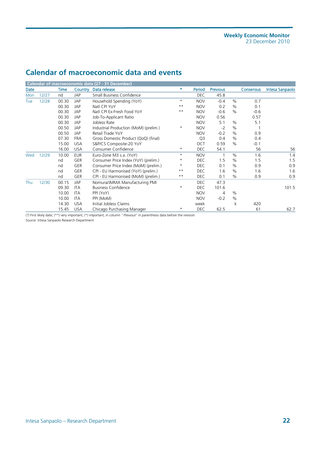## **Calendar of macroeconomic data and events**

|      |       |       |            | Calendar of macroeconomic data (27 - 31 December) |              |                |                 |      |           |                 |
|------|-------|-------|------------|---------------------------------------------------|--------------|----------------|-----------------|------|-----------|-----------------|
| Date |       | Time  | Country    | Data release                                      | *.           | Period         | <b>Previous</b> |      | Consensus | Intesa Sanpaolo |
| Mon  | 12/27 | nd    | JAP        | Small Business Confidence                         |              | <b>DEC</b>     | 45.8            |      |           |                 |
| Tue  | 12/28 | 00.30 | JAP        | Household Spending (YoY)                          | $^\star$     | <b>NOV</b>     | $-0.4$          | $\%$ | 0.7       |                 |
|      |       | 00.30 | JAP        | Natl CPI YoY                                      | $***$        | <b>NOV</b>     | 0.2             | $\%$ | 0.1       |                 |
|      |       | 00.30 | JAP        | Natl CPI Ex-Fresh Food YoY                        | $***$        | <b>NOV</b>     | $-0.6$          | $\%$ | $-0.6$    |                 |
|      |       | 00.30 | JAP        | Job-To-Applicant Ratio                            |              | <b>NOV</b>     | 0.56            |      | 0.57      |                 |
|      |       | 00.30 | JAP        | Jobless Rate                                      |              | <b>NOV</b>     | 5.1             | $\%$ | 5.1       |                 |
|      |       | 00.50 | JAP        | Industrial Production (MoM) (prelim.)             | $^\star$     | <b>NOV</b>     | $-2$            | $\%$ |           |                 |
|      |       | 00.50 | JAP        | Retail Trade YoY                                  |              | <b>NOV</b>     | $-0.2$          | $\%$ | 0.9       |                 |
|      |       | 07.30 | <b>FRA</b> | Gross Domestic Product (QoQ) (final)              |              | Q <sub>3</sub> | 0.4             | $\%$ | 0.4       |                 |
|      |       | 15.00 | <b>USA</b> | S&P/CS Composite-20 YoY                           |              | OCT            | 0.59            | $\%$ | $-0.1$    |                 |
|      |       | 16.00 | <b>USA</b> | Consumer Confidence                               | $\star$      | <b>DEC</b>     | 54.1            |      | 56        | 56              |
| Wed  | 12/29 | 10.00 | <b>EUR</b> | Euro-Zone M3 s.a. (YoY)                           | $^{\star}$   | <b>NOV</b>     |                 | $\%$ | 1.6       | 1.4             |
|      |       | nd    | <b>GER</b> | Consumer Price Index (YoY) (prelim.)              | $^\star$     | DEC.           | 1.5             | $\%$ | 1.5       | 1.5             |
|      |       | nd    | <b>GER</b> | Consumer Price Index (MoM) (prelim.)              | $^\star$     | DEC            | 0.1             | $\%$ | 0.9       | 0.9             |
|      |       | nd    | <b>GER</b> | CPI - EU Harmonised (YoY) (prelim.)               | $***$        | DEC            | 1.6             | $\%$ | 1.6       | 1.6             |
|      |       | nd    | GER        | CPI - EU Harmonised (MoM) (prelim.)               | $\star\star$ | <b>DEC</b>     | 0.1             | $\%$ | 0.9       | 0.9             |
| Thu  | 12/30 | 00.15 | JAP        | Nomura/JMMA Manufacturing PMI                     |              | <b>DEC</b>     | 47.3            |      |           |                 |
|      |       | 09.30 | ITA        | <b>Business Confidence</b>                        | $^\star$     | <b>DEC</b>     | 101.6           |      |           | 101.5           |
|      |       | 10.00 | ITA        | PPI (YoY)                                         |              | <b>NOV</b>     | 4               | $\%$ |           |                 |
|      |       | 10.00 | ITA        | PPI (MoM)                                         |              | <b>NOV</b>     | $-0.2$          | $\%$ |           |                 |
|      |       | 14.30 | <b>USA</b> | Initial Jobless Claims                            |              | week           |                 | k    | 420       |                 |
|      |       | 15.45 | <b>USA</b> | Chicago Purchasing Manager                        | $^\star$     | <b>DEC</b>     | 62.5            |      | 61        | 62.7            |

(?) First likely date; (\*\*) very important; (\*) important; in column "Previous" in parenthesis data before the revision

Source: Intesa Sanpaolo Research Department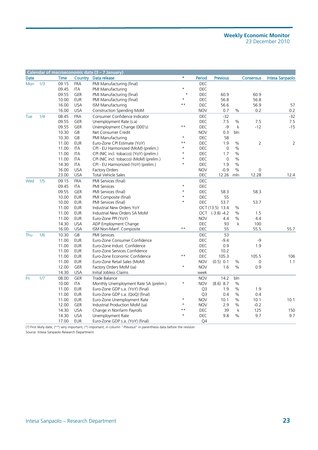|             |     |             |            | Calendar of macroeconomic data (3 - 7 January) |              |                |                 |             |                |                 |
|-------------|-----|-------------|------------|------------------------------------------------|--------------|----------------|-----------------|-------------|----------------|-----------------|
| <b>Date</b> |     | <b>Time</b> | Country    | Data release                                   | $\star$      | Period         | Previous        |             | Consensus      | Intesa Sanpaolo |
| Mon         | 1/3 | 09.15       | <b>FRA</b> | PMI Manufacturing (final)                      |              | DEC            |                 |             |                |                 |
|             |     | 09.45       | <b>ITA</b> | PMI Manufacturing                              | $\star$      | DEC            |                 |             |                |                 |
|             |     | 09.55       | <b>GER</b> | PMI Manufacturing (final)                      | $\star$      | DEC            | 60.9            |             | 60.9           |                 |
|             |     | 10.00       | <b>EUR</b> | PMI Manufacturing (final)                      | $\star$      | <b>DEC</b>     | 56.8            |             | 56.8           |                 |
|             |     | 16.00       | <b>USA</b> | ISM Manufacturing                              | $***$        | DEC            | 56.6            |             | 56.9           | 57              |
|             |     | 16.00       | <b>USA</b> | Construction Spending MoM                      |              | <b>NOV</b>     | 0.7             | %           | 0.2            | 0.2             |
| Tue         | 1/4 | 08.45       | <b>FRA</b> | Consumer Confidence Indicator                  |              | <b>DEC</b>     | $-32$           |             |                | $-32$           |
|             |     | 09.55       | <b>GER</b> | Unemployment Rate (s.a)                        |              | <b>DEC</b>     | 7.5             | %           | 7.5            | 7.5             |
|             |     | 09.55       | <b>GER</b> | Unemployment Change (000's)                    | $\star\star$ | DEC            | $-9$            | $\mathsf k$ | $-12$          | $-15$           |
|             |     | 10.30       | GB         | Net Consumer Credit                            |              | <b>NOV</b>     | 0.3             | bln         |                |                 |
|             |     | 10.30       | GB         | PMI Manufacturing                              | $\star$      | DEC            | 58              |             |                |                 |
|             |     | 11.00       | <b>EUR</b> | Euro-Zone CPI Estimate (YoY)                   | $\star\star$ | DEC            | 1.9             | $\%$        | $\overline{2}$ | 2               |
|             |     | 11.00       | ITA        | CPI - EU Harmonized (MoM) (prelim.)            | $\star$      | DEC            | $\mathbf 0$     | $\%$        |                |                 |
|             |     | 11.00       | ITA        | CPI (NIC incl. tobacco) (YoY) (prelim.)        | $\star$      | <b>DEC</b>     | 1.7             | %           |                |                 |
|             |     | 11.00       | ITA        | CPI (NIC incl. tobacco) (MoM) (prelim.)        | $\star$      | DEC            | $\mathbf 0$     | %           |                |                 |
|             |     | 14.30       | ITA        | CPI - EU Harmonized (YoY) (prelim.)            | $\star$      | DEC            | 1.9             | $\%$        |                |                 |
|             |     | 16.00       | <b>USA</b> | Factory Orders                                 |              | <b>NOV</b>     | $-0.9$          | $\%$        | $\mathbf 0$    |                 |
|             |     | 23.00       | <b>USA</b> | Total Vehicle Sales                            |              | DEC            | 12.26           | mln         | 12.28          | 12.4            |
| Wed         | 1/5 | 09.15       | <b>FRA</b> | PMI Services (final)                           |              | DEC            |                 |             |                |                 |
|             |     | 09.45       | ITA        | <b>PMI Services</b>                            | $\star$      | DEC            |                 |             |                |                 |
|             |     | 09.55       | <b>GER</b> | PMI Services (final)                           | $\star$      | DEC            | 58.3            |             | 58.3           |                 |
|             |     | 10.00       | <b>EUR</b> | PMI Composite (final)                          | $\star$      | DEC            | 55              |             |                |                 |
|             |     | 10.00       | <b>EUR</b> | PMI Services (final)                           | $\star$      | <b>DEC</b>     | 53.7            |             | 53.7           |                 |
|             |     | 11.00       | <b>EUR</b> | Industrial New Orders YoY                      |              |                | OCT (13.5) 13.4 | $\%$        |                |                 |
|             |     | 11.00       | <b>EUR</b> | Industrial New Orders SA MoM                   |              |                | OCT (-3.8) -4.2 | %           | 1.5            |                 |
|             |     | 11.00       | <b>EUR</b> | Euro-Zone PPI (YoY)                            |              | <b>NOV</b>     | 4.4             | $\%$        | 4.4            |                 |
|             |     | 14.30       | <b>USA</b> | ADP Employment Change                          |              | DEC            | 93              | k           | 100            |                 |
|             |     | 16.00       | <b>USA</b> | ISM Non-Manf. Composite                        | $***$        | DEC            | 55              |             | 55.5           | 55.7            |
| Thu         | 1/6 | 10.30       | GB         | <b>PMI Services</b>                            |              | DEC            | 53              |             |                |                 |
|             |     | 11.00       | <b>EUR</b> | Euro-Zone Consumer Confidence                  |              | DEC            | $-9.4$          |             | -9             |                 |
|             |     | 11.00       | <b>EUR</b> | Euro-Zone Indust. Confidence                   |              | DEC            | 0.9             |             | 1.9            |                 |
|             |     | 11.00       | <b>EUR</b> | Euro-Zone Services Confidence                  |              | DEC            | 10.2            |             |                |                 |
|             |     | 11.00       | <b>EUR</b> | Euro-Zone Economic Confidence                  | $\star\star$ | DEC            | 105.3           |             | 105.5          | 106             |
|             |     | 11.00       | <b>EUR</b> | Euro-Zone Retail Sales (MoM)                   |              | <b>NOV</b>     | (0.5) 0.1       | %           | 0              | 1.1             |
|             |     | 12.00       | <b>GER</b> | Factory Orders MoM (sa)                        | $\star$      | <b>NOV</b>     | 1.6             | %           | 0.9            |                 |
|             |     | 14.30       | <b>USA</b> | Initial Jobless Claims                         |              | week           |                 |             |                |                 |
| Fri         | 1/7 | 08.00       | <b>GER</b> | Trade Balance                                  |              | <b>NOV</b>     | 14.2            | bln         |                |                 |
|             |     | 10.00       | ITA        | Monthly Unemployment Rate SA (prelim.)         | $^\star$     | <b>NOV</b>     | $(8.6)$ 8.7     | $\%$        |                |                 |
|             |     | 11.00       | <b>EUR</b> | Euro-Zone GDP s.a. (YoY) (final)               |              | Q3             | 1.9             | $\%$        | 1.9            |                 |
|             |     | 11.00       | <b>EUR</b> | Euro-Zone GDP s.a. (QoQ) (final)               |              | Q <sub>3</sub> | 0.4             | %           | 0.4            |                 |
|             |     | 11.00       | <b>EUR</b> | Euro-Zone Unemployment Rate                    | $\star$      | <b>NOV</b>     | 10.1            | $\%$        | 10.1           | 10.1            |
|             |     | 12.00       | <b>GER</b> | Industrial Production MoM (sa)                 | $\star$      | <b>NOV</b>     | 2.9             | %           | $-0.2$         |                 |
|             |     | 14.30       | <b>USA</b> | Change in Nonfarm Payrolls                     | $\star\star$ | DEC            | 39              | $\mathsf k$ | 125            | 150             |
|             |     | 14.30       | <b>USA</b> | Unemployment Rate                              | $\star$      | DEC            | 9.8             | %           | 9.7            | 9.7             |
|             |     | 17.00       | <b>EUR</b> | Euro-Zone GDP s.a. (YoY) (final)               |              | Q4             |                 |             |                |                 |

(?) First likely date; (\*\*) very important; (\*) important; in column "Previous" in parenthesis data before the revision

Source: Intesa Sanpaolo Research Department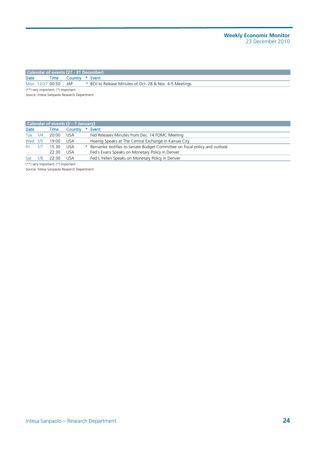|      | Calendar of events (27 - 31 December)  |                                                         |
|------|----------------------------------------|---------------------------------------------------------|
| Date |                                        | Time Country * Event                                    |
|      | Mon 12/27 00:50 JAP                    | * BOJ to Release Minutes of Oct. 28 & Nov. 4-5 Meetings |
|      | $(**)$ very important; $(*)$ important |                                                         |

Source: Intesa Sanpaolo Research Department

|         |     |        | <b>Calendar of events <math>(3 - 7)</math> January)</b> |                                                                              |
|---------|-----|--------|---------------------------------------------------------|------------------------------------------------------------------------------|
| Date    |     | Time   | Country                                                 | * Event                                                                      |
| Tue 1/4 |     | 20:00  | USA                                                     | Fed Releases Minutes from Dec. 14 FOMC Meeting                               |
| Wed 1/5 |     | 19:00  | USA                                                     | Hoenig Speaks at The Central Exchange in Kansas City                         |
| Fri -   | 1/7 | 15.30  | USA                                                     | * Bernanke testifies to Senate Budget Committee on fiscal policy and outlook |
|         |     | 22:30  | <b>USA</b>                                              | Fed's Evans Speaks on Monetary Policy in Denver                              |
| Sat     | 1/8 | 22.30. | USA.                                                    | Fed's Yellen Speaks on Monetary Policy in Denver                             |

(\*\*) very important; (\*) important

Source: Intesa Sanpaolo Research Department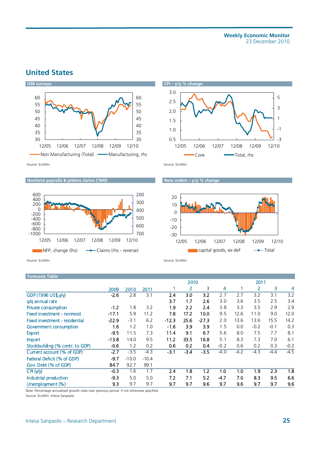## **United States**





**Nonfarm payrolls & jobless claims ('000)** New orders – y/y % change





Source: EcoWin Source: EcoWin Source: EcoWin Source: EcoWin

#### **Forecasts Table**

|                                 |         |         |         |         | 2010   |         |        |        | 2011   |        |        |  |  |
|---------------------------------|---------|---------|---------|---------|--------|---------|--------|--------|--------|--------|--------|--|--|
|                                 | 2009    | 2010    | 2011    |         | 2      | 3       | 4      |        | 2      | 3      | 4      |  |  |
| GDP (1996 US\$, y/y)            | $-2.6$  | 2.8     | 3.1     | 2.4     | 3.0    | 3.2     | 2.7    | 2.7    | 3.2    | 3.1    | 3.2    |  |  |
| q/q annual rate                 |         |         |         | 3.7     | 1.7    | 2.6     | 3.0    | 3.6    | 3.5    | 2.5    | 3.4    |  |  |
| Private consumption             | $-1.2$  | 1.8     | 3.2     | 1.9     | 2.2    | 2.4     | 3.8    | 3.3    | 3.5    | 2.9    | 2.9    |  |  |
| Fixed investment - nonresid.    | $-17.1$ | 5.9     | 11.2    | 7.8     | 17.2   | 10.0    | 9.5    | 12.6   | 11.0   | 9.0    | 12.0   |  |  |
| Fixed investment - residential  | $-22.9$ | $-3.1$  | 6.2     | $-12.3$ | 25.6   | $-27.3$ | 2.0    | 13.6   | 13.6   | 15.5   | 14.2   |  |  |
| Government consumption          | 1.6     | 1.2     | 1.0     | $-1.6$  | 3.9    | 3.9     | 1.5    | 0.0    | $-0.2$ | $-0.1$ | 0.3    |  |  |
| <b>Export</b>                   | $-9.5$  | 11.5    | 7.3     | 11.4    | 9.1    | 6.7     | 5.6    | 8.0    | 7.5    | 7.7    | 8.1    |  |  |
| Import                          | $-13.8$ | 14.0    | 9.5     | 11.2    | 33.5   | 16.8    | 5.1    | 8.3    | 7.3    | 7.0    | 6.1    |  |  |
| Stockbuilding (% contr. to GDP) | $-0.6$  | 1.2     | 0.2     | 0.6     | 0.2    | 0.4     | $-0.2$ | 0.6    | 0.2    | 0.3    | $-0.2$ |  |  |
| Current account (% of GDP)      | $-2.7$  | $-3.5$  | $-4.3$  | $-3.1$  | $-3.4$ | $-3.5$  | $-4.0$ | $-4.2$ | $-4.3$ | $-4.4$ | $-4.5$ |  |  |
| Federal Deficit (% of GDP)      | $-9.7$  | $-10.0$ | $-10.4$ |         |        |         |        |        |        |        |        |  |  |
| Gov. Debt (% of GDP)            | 84.7    | 92.7    | 99.1    |         |        |         |        |        |        |        |        |  |  |
| CH (y/y)                        | $-0.3$  | 1.6     | 1.7     | 2.4     | 1.8    | 1.2     | 1.0    | 1.0    | 1.9    | 2.3    | 1.8    |  |  |
| Industrial production           | $-9.3$  | 5.0     | 5.0     | 7.2     | 7.1    | 5.2     | $-4.7$ | 7.0    | 8.3    | 9.5    | 6.6    |  |  |
| Unemployment (%)                | 9.3     | 9.7     | 9.7     | 9.7     | 9.7    | 9.6     | 9.7    | 9.6    | 9.7    | 9.7    | 9.6    |  |  |

Note: Percentage annualised growth rates over previous period. if not otherwise specified.

Source: EcoWin. Intesa Sanpaolo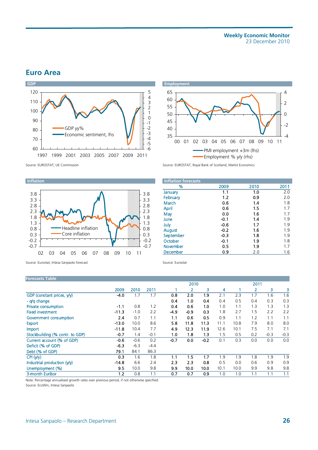### **Euro Area**





Source: EUROSTAT, UE Commission Source: EUROSTAT, Royal Bank of Scotland, Markit Economics

#### **Inflation**



Source: Eurostat, Intesa Sanpaolo forecast Source: Eurostat

#### **Forecasts Table**

| <b>Inflation forecasts</b> |        |      |      |
|----------------------------|--------|------|------|
| %                          | 2009   | 2010 | 2011 |
| January                    | 1.1    | 1.0  | 2.0  |
| February                   | 1.2    | 0.9  | 2.0  |
| March                      | 0.6    | 1.4  | 1.8  |
| <b>April</b>               | 0.6    | 1.5  | 1.7  |
| May                        | 0.0    | 1.6  | 1.7  |
| June                       | $-0.1$ | 1.4  | 1.9  |
| July                       | $-0.6$ | 1.7  | 1.9  |
| August                     | $-0.2$ | 1.6  | 1.9  |
| September                  | $-0.3$ | 1.8  | 1.9  |
| October                    | $-0.1$ | 1.9  | 1.8  |
| November                   | 0.5    | 1.9  | 1.7  |
| December                   | 0.9    | 2.0  | 1.6  |

| <b>Forecasts Table</b>          |         |        |        |        |        |        |      |      |      |        |        |  |
|---------------------------------|---------|--------|--------|--------|--------|--------|------|------|------|--------|--------|--|
|                                 |         |        |        |        | 2010   |        |      |      | 2011 |        |        |  |
|                                 | 2009    | 2010   | 2011   |        |        | 3      | 4    |      | 2    | 3      | 3      |  |
| GDP (constant prices, y/y)      | -4.0    | 1.7    | 1.7    | 0.8    | 2.0    | 1.9    | 2.1  | 2.3  | 1.7  | 1.6    | 1.6    |  |
| - a/a change                    |         |        |        | 0.4    | 1.0    | 0.4    | 0.4  | 0.5  | 0.4  | 0.3    | 0.3    |  |
| <b>Private consumption</b>      | $-1.1$  | 0.8    | 1.2    | 0.4    | 0.6    | 1.0    | 1.0  | 1.1  | 1.3  | 1.3    | 1.3    |  |
| <b>Fixed investment</b>         | $-11.3$ | $-1.0$ | 2.2    | $-4.9$ | $-0.9$ | 0.3    | 1.8  | 2.7  | 1.5  | 2.2    | 2.2    |  |
| Government consumption          | 2.4     | 0.7    | 1.1    | 1.1    | 0.6    | 0.5    | 0.9  | 1.1  | 1.2  | 1.1    | 1.1    |  |
| <b>Export</b>                   | $-13.0$ | 10.0   | 8.6    | 5.8    | 11.8   | 11.3   | 11.1 | 10.8 | 7.9  | 8.0    | 8.0    |  |
| <b>Import</b>                   | $-11.8$ | 10.4   | 7.7    | 4.9    | 12.3   | 11.9   | 12.6 | 10.1 | 7.5  | 7.1    | 7.1    |  |
| Stockbuilding (% contr. to GDP) | -0.7    | 1.4    | $-0.1$ | 1.0    | 1.8    | 1.3    | 1.5  | 0.5  | 0.2  | $-0.3$ | $-0.3$ |  |
| Current account (% of GDP)      | -0.6    | $-0.6$ | 0.2    | $-0.7$ | 0.0    | $-0.2$ | 0.1  | 0.3  | 0.0  | 0.0    | 0.0    |  |
| Deficit (% of GDP)              | $-6.3$  | $-6.3$ | $-4.4$ |        |        |        |      |      |      |        |        |  |
| Debt (% of GDP)                 | 79.1    | 84.1   | 86.3   |        |        |        |      |      |      |        |        |  |
| CPI(y/y)                        | 0.3     | 1.6    | 1.8    | 1.1    | 1.5    | 1.7    | 1.9  | 1.9  | 1.8  | 1.9    | 1.9    |  |
| Industrial production (y/y)     | $-14.8$ | 6.6    | 2.4    | 2.3    | 2.3    | 0.8    | 0.5  | 0.0  | 0.6  | 0.9    | 0.9    |  |
| Unemployment (%)                | 9.5     | 10.0   | 9.8    | 9.9    | 10.0   | 10.0   | 10.1 | 10.0 | 9.9  | 9.8    | 9.8    |  |
| 3-month Euribor                 | 1.2     | 0.8    | 1.1    | 0.7    | 0.7    | 0.9    | 1.0  | 1.0  | 1.1  | 1.1    | 1.1    |  |

Note: Percentage annualised growth rates over previous period, if not otherwise specified.

Source: EcoWin, Intesa Sanpaolo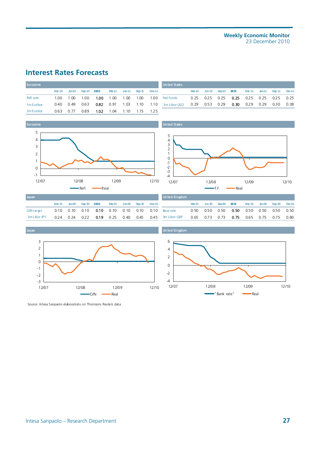## **Interest Rates Forecasts**

| <b>Eurozone</b>        |         |             |      |           |                                    |  | <b>United States</b>                                                |  |                                                        |  |               |  |
|------------------------|---------|-------------|------|-----------|------------------------------------|--|---------------------------------------------------------------------|--|--------------------------------------------------------|--|---------------|--|
|                        |         |             |      |           |                                    |  | Mar-10 Jun-10 Sep-10 23/12 Mar-11 Jun-11 Sep-11 Dec-11              |  | Mar-10 Jun-10 Sep-10 23/12 Mar-11 Jun-11 Sep-11 Dec-11 |  |               |  |
| Refi rate              | 1 0 0 1 | 1.00        | 1.00 | 1.00 1.00 |                                    |  | 1.00 1.00 1.00 Fed Funds                                            |  | 0.25  0.25  0.25  0.25  0.25  0.25  0.25  0.25         |  |               |  |
| 1 <sub>m</sub> Euribor |         | 0.40 0.49   | 0.63 |           |                                    |  | 0.82 0.91 1.03 1.10 1.10 3m Libor USD 0.29 0.53 0.29 0.30 0.29 0.29 |  |                                                        |  | $0.30$ $0.38$ |  |
| 3m Euribor             |         | $0.63$ 0.77 | 0.89 |           | <b>1.02</b> 1.04  1.10  1.15  1.25 |  |                                                                     |  |                                                        |  |               |  |



|  |  |  |  | <b>United States</b>                                                                         |  |                                                        |  |  |
|--|--|--|--|----------------------------------------------------------------------------------------------|--|--------------------------------------------------------|--|--|
|  |  |  |  | Mar-10 Jun-10 Sep-10 23/12 Mar-11 Jun-11 Sep-11 Dec-11                                       |  | Mar-10 Jun-10 Sep-10 23/12 Mar-11 Jun-11 Sep-11 Dec-11 |  |  |
|  |  |  |  |                                                                                              |  |                                                        |  |  |
|  |  |  |  | 0.40 0.49 0.63 0.82 0.91 1.03 1.10 1.10 3m Libor USD 0.29 0.53 0.29 0.30 0.29 0.29 0.30 0.38 |  |                                                        |  |  |

United States



| Japan        |                 |                                                                |        |          |          |        |
|--------------|-----------------|----------------------------------------------------------------|--------|----------|----------|--------|
|              | $Mar-31$ Jun-30 | Seo-30 23/12                                                   | Mar-31 | $Jun-30$ | $Sen-30$ | Dec-31 |
| O/N target   |                 | $0.10$ $0.10$ $0.10$ $0.10$ $0.10$ $0.10$ $0.10$ $0.10$ $0.10$ |        |          |          |        |
| 3m Libor JPY |                 | $0.24$ 0.24 0.22 0.19 0.25 0.40                                |        |          | 0.45     | 0.45   |







Source: Intesa Sanpaolo elaborations on Thomsons Reuters data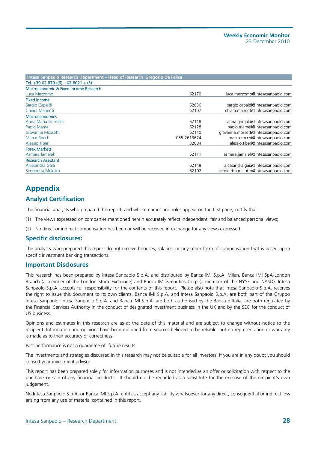| Intesa Sanpaolo Research Department – Head of Research Gregorio De Felice |             |                                      |
|---------------------------------------------------------------------------|-------------|--------------------------------------|
| Tel. $+3902879+(6) - 028021 + (3)$                                        |             |                                      |
| Macroeconomic & Fixed Income Research                                     |             |                                      |
| Luca Mezzomo                                                              | 62170       | luca.mezzomo@intesasanpaolo.com      |
| <b>Fixed Income</b>                                                       |             |                                      |
| Sergio Capaldi                                                            | 62036       | sergio.capaldi@intesasanpaolo.com    |
| Chiara Manenti                                                            | 62107       | chiara.manenti@intesasanpaolo.com    |
| <b>Macroeconomics</b>                                                     |             |                                      |
| Anna Maria Grimaldi                                                       | 62118       | anna.grimaldi@intesasanpaolo.com     |
| Paolo Mameli                                                              | 62128       | paolo.mameli@intesasanpaolo.com      |
| Giovanna Mossetti                                                         | 62110       | giovanna.mossetti@intesasanpaolo.com |
| Marco Rocchi                                                              | 055-2613674 | marco.rocchi@intesasanpaolo.com      |
| Alessio Tiberi                                                            | 32834       | alessio.tiberi@intesasanpaolo.com    |
| <b>Forex Markets</b>                                                      |             |                                      |
| Asmara Jamaleh                                                            | 62111       | asmara.jamaleh@intesasanpaolo.com    |
| <b>Research Assistant</b>                                                 |             |                                      |
| Alessandra Gaia                                                           | 62149       | alessandra.gaia@intesasanpaolo.com   |
| Simonetta Melotto                                                         | 62102       | simonetta.melotto@intesasanpaolo.com |

## **Appendix**

#### **Analyst Certification**

The financial analysts who prepared this report, and whose names and roles appear on the first page, certify that:

- (1) The views expressed on companies mentioned herein accurately reflect independent, fair and balanced personal views;
- (2) No direct or indirect compensation has been or will be received in exchange for any views expressed.

#### **Specific disclosures:**

The analysts who prepared this report do not receive bonuses, salaries, or any other form of compensation that is based upon specific investment banking transactions.

#### **Important Disclosures**

This research has been prepared by Intesa Sanpaolo S.p.A. and distributed by Banca IMI S.p.A. Milan, Banca IMI SpA-London Branch (a member of the London Stock Exchange) and Banca IMI Securities Corp (a member of the NYSE and NASD). Intesa Sanpaolo S.p.A. accepts full responsibility for the contents of this report. Please also note that Intesa Sanpaolo S.p.A. reserves the right to issue this document to its own clients. Banca IMI S.p.A. and Intesa Sanpaolo S.p.A. are both part of the Gruppo Intesa Sanpaolo. Intesa Sanpaolo S.p.A. and Banca IMI S.p.A. are both authorised by the Banca d'Italia, are both regulated by the Financial Services Authority in the conduct of designated investment business in the UK and by the SEC for the conduct of US business.

Opinions and estimates in this research are as at the date of this material and are subject to change without notice to the recipient. Information and opinions have been obtained from sources believed to be reliable, but no representation or warranty is made as to their accuracy or correctness.

Past performance is not a guarantee of future results.

The investments and strategies discussed in this research may not be suitable for all investors. If you are in any doubt you should consult your investment advisor.

This report has been prepared solely for information purposes and is not intended as an offer or solicitation with respect to the purchase or sale of any financial products. It should not be regarded as a substitute for the exercise of the recipient's own judgement.

No Intesa Sanpaolo S.p.A. or Banca IMI S.p.A. entities accept any liability whatsoever for any direct, consequential or indirect loss arising from any use of material contained in this report.